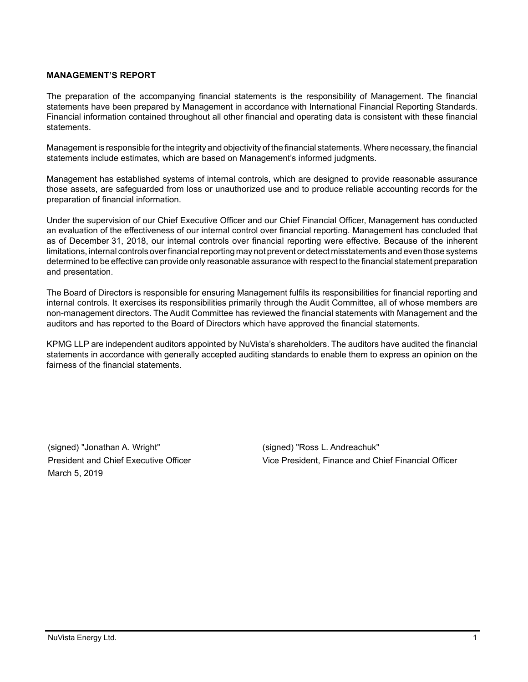### **MANAGEMENT'S REPORT**

The preparation of the accompanying financial statements is the responsibility of Management. The financial statements have been prepared by Management in accordance with International Financial Reporting Standards. Financial information contained throughout all other financial and operating data is consistent with these financial statements.

Management is responsible for the integrity and objectivity of the financial statements. Where necessary, the financial statements include estimates, which are based on Management's informed judgments.

Management has established systems of internal controls, which are designed to provide reasonable assurance those assets, are safeguarded from loss or unauthorized use and to produce reliable accounting records for the preparation of financial information.

Under the supervision of our Chief Executive Officer and our Chief Financial Officer, Management has conducted an evaluation of the effectiveness of our internal control over financial reporting. Management has concluded that as of December 31, 2018, our internal controls over financial reporting were effective. Because of the inherent limitations, internal controls over financial reporting may not prevent or detect misstatements and even those systems determined to be effective can provide only reasonable assurance with respect to the financial statement preparation and presentation.

The Board of Directors is responsible for ensuring Management fulfils its responsibilities for financial reporting and internal controls. It exercises its responsibilities primarily through the Audit Committee, all of whose members are non-management directors. The Audit Committee has reviewed the financial statements with Management and the auditors and has reported to the Board of Directors which have approved the financial statements.

KPMG LLP are independent auditors appointed by NuVista's shareholders. The auditors have audited the financial statements in accordance with generally accepted auditing standards to enable them to express an opinion on the fairness of the financial statements.

(signed) "Jonathan A. Wright" (signed) "Ross L. Andreachuk" March 5, 2019

President and Chief Executive Officer Vice President, Finance and Chief Financial Officer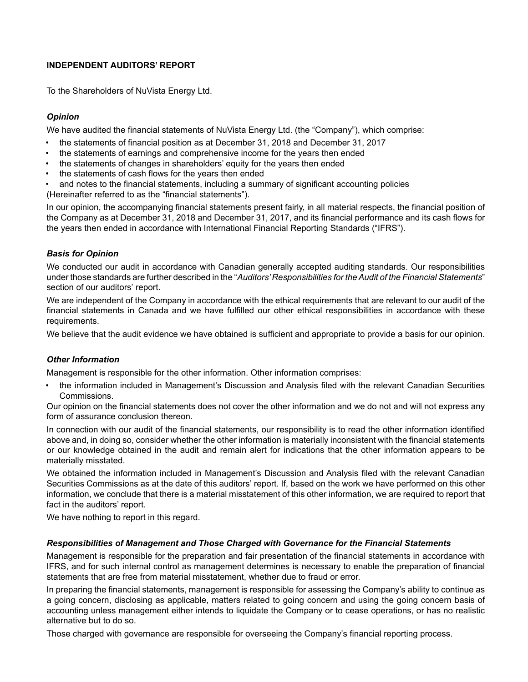### **INDEPENDENT AUDITORS' REPORT**

To the Shareholders of NuVista Energy Ltd.

### *Opinion*

We have audited the financial statements of NuVista Energy Ltd. (the "Company"), which comprise:

- the statements of financial position as at December 31, 2018 and December 31, 2017
- the statements of earnings and comprehensive income for the years then ended
- the statements of changes in shareholders' equity for the years then ended
- the statements of cash flows for the years then ended
- and notes to the financial statements, including a summary of significant accounting policies

(Hereinafter referred to as the "financial statements").

In our opinion, the accompanying financial statements present fairly, in all material respects, the financial position of the Company as at December 31, 2018 and December 31, 2017, and its financial performance and its cash flows for the years then ended in accordance with International Financial Reporting Standards ("IFRS").

### *Basis for Opinion*

We conducted our audit in accordance with Canadian generally accepted auditing standards. Our responsibilities under those standards are further described in the "*Auditors' Responsibilities for the Audit of the Financial Statements*" section of our auditors' report.

We are independent of the Company in accordance with the ethical requirements that are relevant to our audit of the financial statements in Canada and we have fulfilled our other ethical responsibilities in accordance with these requirements.

We believe that the audit evidence we have obtained is sufficient and appropriate to provide a basis for our opinion.

### *Other Information*

Management is responsible for the other information. Other information comprises:

• the information included in Management's Discussion and Analysis filed with the relevant Canadian Securities Commissions.

Our opinion on the financial statements does not cover the other information and we do not and will not express any form of assurance conclusion thereon.

In connection with our audit of the financial statements, our responsibility is to read the other information identified above and, in doing so, consider whether the other information is materially inconsistent with the financial statements or our knowledge obtained in the audit and remain alert for indications that the other information appears to be materially misstated.

We obtained the information included in Management's Discussion and Analysis filed with the relevant Canadian Securities Commissions as at the date of this auditors' report. If, based on the work we have performed on this other information, we conclude that there is a material misstatement of this other information, we are required to report that fact in the auditors' report.

We have nothing to report in this regard.

#### *Responsibilities of Management and Those Charged with Governance for the Financial Statements*

Management is responsible for the preparation and fair presentation of the financial statements in accordance with IFRS, and for such internal control as management determines is necessary to enable the preparation of financial statements that are free from material misstatement, whether due to fraud or error.

In preparing the financial statements, management is responsible for assessing the Company's ability to continue as a going concern, disclosing as applicable, matters related to going concern and using the going concern basis of accounting unless management either intends to liquidate the Company or to cease operations, or has no realistic alternative but to do so.

Those charged with governance are responsible for overseeing the Company's financial reporting process.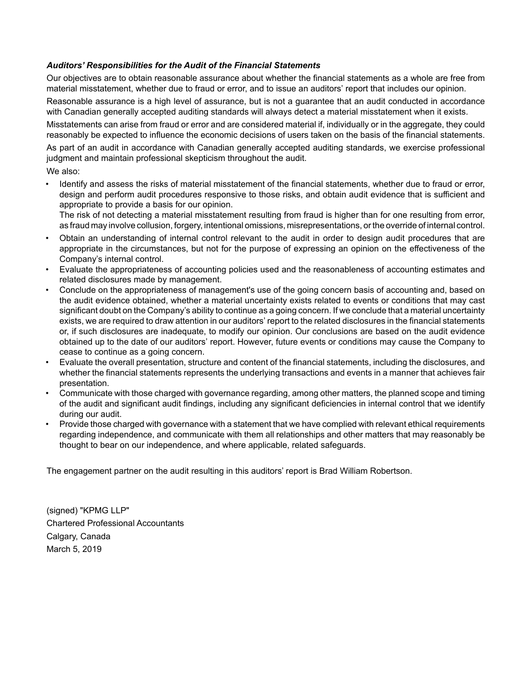### *Auditors' Responsibilities for the Audit of the Financial Statements*

Our objectives are to obtain reasonable assurance about whether the financial statements as a whole are free from material misstatement, whether due to fraud or error, and to issue an auditors' report that includes our opinion.

Reasonable assurance is a high level of assurance, but is not a guarantee that an audit conducted in accordance with Canadian generally accepted auditing standards will always detect a material misstatement when it exists.

Misstatements can arise from fraud or error and are considered material if, individually or in the aggregate, they could reasonably be expected to influence the economic decisions of users taken on the basis of the financial statements.

As part of an audit in accordance with Canadian generally accepted auditing standards, we exercise professional judgment and maintain professional skepticism throughout the audit.

We also:

• Identify and assess the risks of material misstatement of the financial statements, whether due to fraud or error, design and perform audit procedures responsive to those risks, and obtain audit evidence that is sufficient and appropriate to provide a basis for our opinion.

The risk of not detecting a material misstatement resulting from fraud is higher than for one resulting from error, as fraud may involve collusion, forgery, intentional omissions, misrepresentations, or the override of internal control.

- Obtain an understanding of internal control relevant to the audit in order to design audit procedures that are appropriate in the circumstances, but not for the purpose of expressing an opinion on the effectiveness of the Company's internal control.
- Evaluate the appropriateness of accounting policies used and the reasonableness of accounting estimates and related disclosures made by management.
- Conclude on the appropriateness of management's use of the going concern basis of accounting and, based on the audit evidence obtained, whether a material uncertainty exists related to events or conditions that may cast significant doubt on the Company's ability to continue as a going concern. If we conclude that a material uncertainty exists, we are required to draw attention in our auditors' report to the related disclosures in the financial statements or, if such disclosures are inadequate, to modify our opinion. Our conclusions are based on the audit evidence obtained up to the date of our auditors' report. However, future events or conditions may cause the Company to cease to continue as a going concern.
- Evaluate the overall presentation, structure and content of the financial statements, including the disclosures, and whether the financial statements represents the underlying transactions and events in a manner that achieves fair presentation.
- Communicate with those charged with governance regarding, among other matters, the planned scope and timing of the audit and significant audit findings, including any significant deficiencies in internal control that we identify during our audit.
- Provide those charged with governance with a statement that we have complied with relevant ethical requirements regarding independence, and communicate with them all relationships and other matters that may reasonably be thought to bear on our independence, and where applicable, related safeguards.

The engagement partner on the audit resulting in this auditors' report is Brad William Robertson.

(signed) "KPMG LLP" Chartered Professional Accountants Calgary, Canada March 5, 2019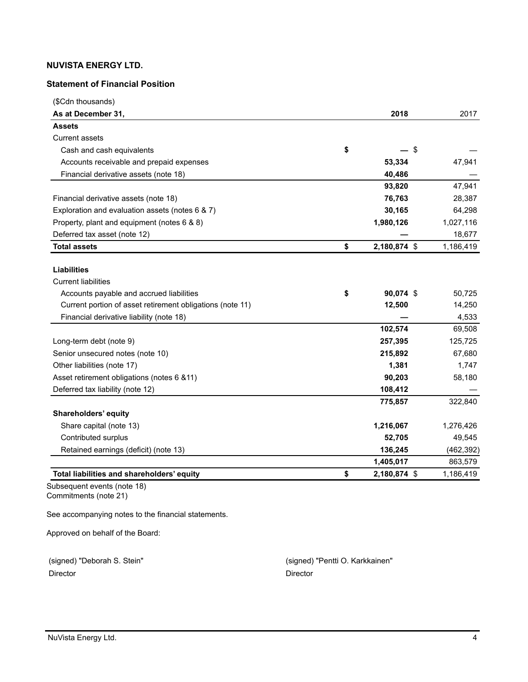### **Statement of Financial Position**

| (\$Cdn thousands)                                         |                    |            |
|-----------------------------------------------------------|--------------------|------------|
| As at December 31,                                        | 2018               | 2017       |
| <b>Assets</b>                                             |                    |            |
| <b>Current assets</b>                                     |                    |            |
| Cash and cash equivalents                                 | \$<br>\$           |            |
| Accounts receivable and prepaid expenses                  | 53,334             | 47,941     |
| Financial derivative assets (note 18)                     | 40,486             |            |
|                                                           | 93,820             | 47,941     |
| Financial derivative assets (note 18)                     | 76,763             | 28,387     |
| Exploration and evaluation assets (notes 6 & 7)           | 30,165             | 64,298     |
| Property, plant and equipment (notes 6 & 8)               | 1,980,126          | 1,027,116  |
| Deferred tax asset (note 12)                              |                    | 18,677     |
| Total assets                                              | \$<br>2,180,874 \$ | 1,186,419  |
| <b>Liabilities</b><br><b>Current liabilities</b>          |                    |            |
| Accounts payable and accrued liabilities                  | \$<br>90,074 \$    | 50,725     |
| Current portion of asset retirement obligations (note 11) | 12,500             | 14,250     |
| Financial derivative liability (note 18)                  |                    | 4,533      |
|                                                           | 102,574            | 69,508     |
| Long-term debt (note 9)                                   | 257,395            | 125,725    |
| Senior unsecured notes (note 10)                          | 215,892            | 67,680     |
| Other liabilities (note 17)                               | 1,381              | 1,747      |
| Asset retirement obligations (notes 6 & 11)               | 90,203             | 58,180     |
| Deferred tax liability (note 12)                          | 108,412            |            |
|                                                           | 775,857            | 322,840    |
| Shareholders' equity                                      |                    |            |
| Share capital (note 13)                                   | 1,216,067          | 1,276,426  |
| Contributed surplus                                       | 52,705             | 49,545     |
| Retained earnings (deficit) (note 13)                     | 136,245            | (462, 392) |
|                                                           | 1,405,017          | 863,579    |
| Total liabilities and shareholders' equity                | \$<br>2,180,874 \$ | 1,186,419  |

Subsequent events (note 18) Commitments (note 21)

See accompanying notes to the financial statements.

Approved on behalf of the Board:

Director Director

(signed) "Deborah S. Stein" (signed) "Pentti O. Karkkainen"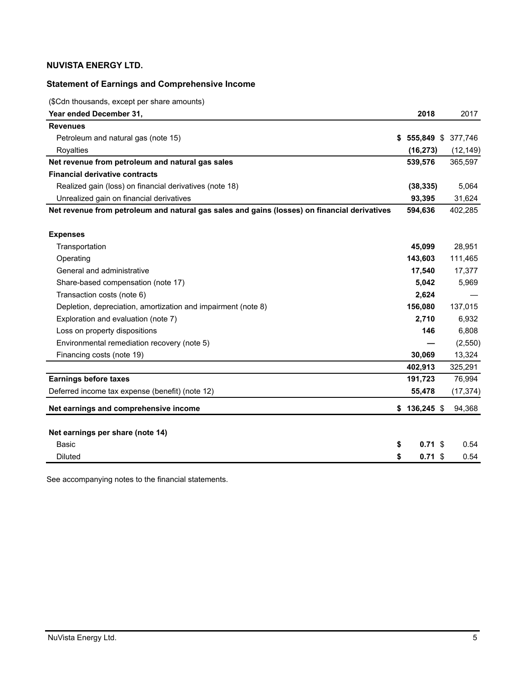## **Statement of Earnings and Comprehensive Income**

(\$Cdn thousands, except per share amounts)

| Year ended December 31,                                                                      |    | 2018          | 2017      |
|----------------------------------------------------------------------------------------------|----|---------------|-----------|
| <b>Revenues</b>                                                                              |    |               |           |
| Petroleum and natural gas (note 15)                                                          | S  | 555,849 \$    | 377,746   |
| Royalties                                                                                    |    | (16, 273)     | (12, 149) |
| Net revenue from petroleum and natural gas sales                                             |    | 539,576       | 365,597   |
| <b>Financial derivative contracts</b>                                                        |    |               |           |
| Realized gain (loss) on financial derivatives (note 18)                                      |    | (38, 335)     | 5,064     |
| Unrealized gain on financial derivatives                                                     |    | 93,395        | 31,624    |
| Net revenue from petroleum and natural gas sales and gains (losses) on financial derivatives |    | 594,636       | 402,285   |
|                                                                                              |    |               |           |
| <b>Expenses</b>                                                                              |    |               |           |
| Transportation                                                                               |    | 45,099        | 28,951    |
| Operating                                                                                    |    | 143,603       | 111,465   |
| General and administrative                                                                   |    | 17,540        | 17,377    |
| Share-based compensation (note 17)                                                           |    | 5,042         | 5,969     |
| Transaction costs (note 6)                                                                   |    | 2,624         |           |
| Depletion, depreciation, amortization and impairment (note 8)                                |    | 156,080       | 137,015   |
| Exploration and evaluation (note 7)                                                          |    | 2,710         | 6,932     |
| Loss on property dispositions                                                                |    | 146           | 6,808     |
| Environmental remediation recovery (note 5)                                                  |    |               | (2,550)   |
| Financing costs (note 19)                                                                    |    | 30,069        | 13,324    |
|                                                                                              |    | 402,913       | 325,291   |
| <b>Earnings before taxes</b>                                                                 |    | 191,723       | 76,994    |
| Deferred income tax expense (benefit) (note 12)                                              |    | 55,478        | (17, 374) |
| Net earnings and comprehensive income                                                        |    | $$136,245$ \$ | 94,368    |
|                                                                                              |    |               |           |
| Net earnings per share (note 14)                                                             |    |               |           |
| Basic                                                                                        | \$ | $0.71$ \$     | 0.54      |
| <b>Diluted</b>                                                                               | \$ | 0.71~\$       | 0.54      |

See accompanying notes to the financial statements.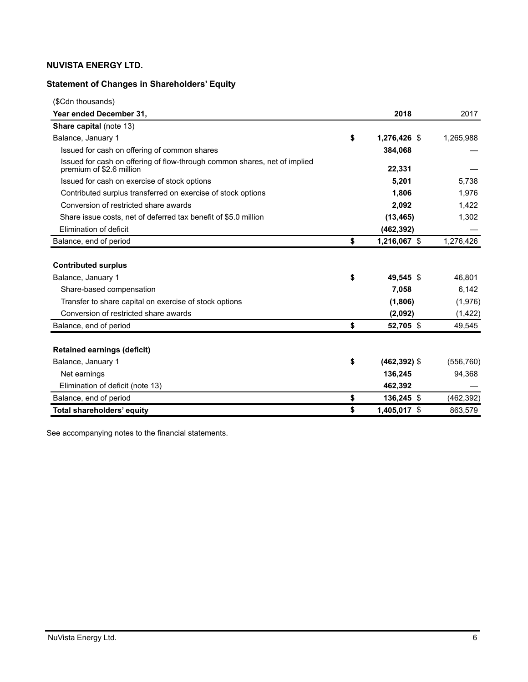# **Statement of Changes in Shareholders' Equity**

| (\$Cdn thousands)                                                                                     |                       |            |
|-------------------------------------------------------------------------------------------------------|-----------------------|------------|
| Year ended December 31,                                                                               | 2018                  | 2017       |
| Share capital (note 13)                                                                               |                       |            |
| Balance, January 1                                                                                    | \$<br>1,276,426 \$    | 1,265,988  |
| Issued for cash on offering of common shares                                                          | 384,068               |            |
| Issued for cash on offering of flow-through common shares, net of implied<br>premium of \$2.6 million | 22,331                |            |
| Issued for cash on exercise of stock options                                                          | 5,201                 | 5,738      |
| Contributed surplus transferred on exercise of stock options                                          | 1,806                 | 1,976      |
| Conversion of restricted share awards                                                                 | 2,092                 | 1,422      |
| Share issue costs, net of deferred tax benefit of \$5.0 million                                       | (13, 465)             | 1,302      |
| Elimination of deficit                                                                                | (462, 392)            |            |
| Balance, end of period                                                                                | \$<br>1,216,067 \$    | 1,276,426  |
| <b>Contributed surplus</b>                                                                            |                       |            |
| Balance, January 1                                                                                    | \$<br>49.545 \$       | 46,801     |
| Share-based compensation                                                                              | 7,058                 | 6,142      |
| Transfer to share capital on exercise of stock options                                                | (1,806)               | (1,976)    |
| Conversion of restricted share awards                                                                 | (2,092)               | (1, 422)   |
| Balance, end of period                                                                                | \$<br>52,705 \$       | 49,545     |
| <b>Retained earnings (deficit)</b>                                                                    |                       |            |
| Balance, January 1                                                                                    | \$<br>$(462, 392)$ \$ | (556, 760) |
| Net earnings                                                                                          | 136,245               | 94,368     |
| Elimination of deficit (note 13)                                                                      | 462,392               |            |
| Balance, end of period                                                                                | \$<br>$136,245$ \$    | (462, 392) |
| Total shareholders' equity                                                                            | \$<br>1,405,017 \$    | 863,579    |

See accompanying notes to the financial statements.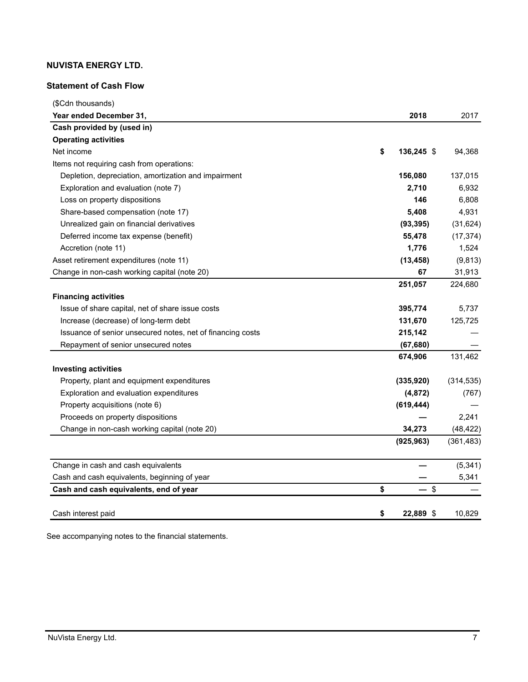## **Statement of Cash Flow**

| (\$Cdn thousands)                                          |                                                           |            |
|------------------------------------------------------------|-----------------------------------------------------------|------------|
| Year ended December 31,                                    | 2018                                                      | 2017       |
| Cash provided by (used in)                                 |                                                           |            |
| <b>Operating activities</b>                                |                                                           |            |
| Net income                                                 | \$<br>136,245 \$                                          | 94,368     |
| Items not requiring cash from operations:                  |                                                           |            |
| Depletion, depreciation, amortization and impairment       | 156,080                                                   | 137,015    |
| Exploration and evaluation (note 7)                        | 2,710                                                     | 6,932      |
| Loss on property dispositions                              | 146                                                       | 6,808      |
| Share-based compensation (note 17)                         | 5,408                                                     | 4,931      |
| Unrealized gain on financial derivatives                   | (93, 395)                                                 | (31, 624)  |
| Deferred income tax expense (benefit)                      | 55,478                                                    | (17, 374)  |
| Accretion (note 11)                                        | 1,776                                                     | 1,524      |
| Asset retirement expenditures (note 11)                    | (13, 458)                                                 | (9, 813)   |
| Change in non-cash working capital (note 20)               | 67                                                        | 31,913     |
|                                                            | 251,057                                                   | 224,680    |
| <b>Financing activities</b>                                |                                                           |            |
| Issue of share capital, net of share issue costs           | 395,774                                                   | 5,737      |
| Increase (decrease) of long-term debt                      | 131,670                                                   | 125,725    |
| Issuance of senior unsecured notes, net of financing costs | 215,142                                                   |            |
| Repayment of senior unsecured notes                        | (67, 680)                                                 |            |
|                                                            | 674,906                                                   | 131,462    |
| <b>Investing activities</b>                                |                                                           |            |
| Property, plant and equipment expenditures                 | (335, 920)                                                | (314, 535) |
| Exploration and evaluation expenditures                    | (4, 872)                                                  | (767)      |
| Property acquisitions (note 6)                             | (619, 444)                                                |            |
| Proceeds on property dispositions                          |                                                           | 2,241      |
| Change in non-cash working capital (note 20)               | 34,273                                                    | (48, 422)  |
|                                                            | (925, 963)                                                | (361, 483) |
| Change in cash and cash equivalents                        |                                                           | (5, 341)   |
| Cash and cash equivalents, beginning of year               |                                                           | 5,341      |
| Cash and cash equivalents, end of year                     | \$<br>$\sqrt[6]{\frac{1}{2}}$<br>$\overline{\phantom{0}}$ |            |
| Cash interest paid                                         | \$<br>22,889 \$                                           | 10,829     |

See accompanying notes to the financial statements.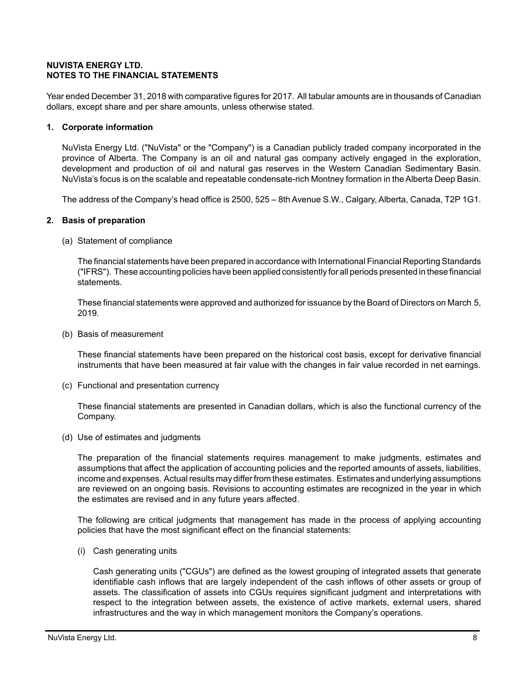### **NUVISTA ENERGY LTD. NOTES TO THE FINANCIAL STATEMENTS**

Year ended December 31, 2018 with comparative figures for 2017. All tabular amounts are in thousands of Canadian dollars, except share and per share amounts, unless otherwise stated.

### **1. Corporate information**

NuVista Energy Ltd. ("NuVista" or the "Company") is a Canadian publicly traded company incorporated in the province of Alberta. The Company is an oil and natural gas company actively engaged in the exploration, development and production of oil and natural gas reserves in the Western Canadian Sedimentary Basin. NuVista's focus is on the scalable and repeatable condensate-rich Montney formation in the Alberta Deep Basin.

The address of the Company's head office is 2500, 525 – 8th Avenue S.W., Calgary, Alberta, Canada, T2P 1G1.

### **2. Basis of preparation**

(a) Statement of compliance

The financial statements have been prepared in accordance with International Financial Reporting Standards ("IFRS"). These accounting policies have been applied consistently for all periods presented in these financial statements.

These financial statements were approved and authorized for issuance by the Board of Directors on March 5, 2019.

(b) Basis of measurement

These financial statements have been prepared on the historical cost basis, except for derivative financial instruments that have been measured at fair value with the changes in fair value recorded in net earnings.

(c) Functional and presentation currency

These financial statements are presented in Canadian dollars, which is also the functional currency of the Company.

(d) Use of estimates and judgments

The preparation of the financial statements requires management to make judgments, estimates and assumptions that affect the application of accounting policies and the reported amounts of assets, liabilities, income and expenses. Actual results may differ from these estimates. Estimates and underlying assumptions are reviewed on an ongoing basis. Revisions to accounting estimates are recognized in the year in which the estimates are revised and in any future years affected.

The following are critical judgments that management has made in the process of applying accounting policies that have the most significant effect on the financial statements:

(i) Cash generating units

Cash generating units ("CGUs") are defined as the lowest grouping of integrated assets that generate identifiable cash inflows that are largely independent of the cash inflows of other assets or group of assets. The classification of assets into CGUs requires significant judgment and interpretations with respect to the integration between assets, the existence of active markets, external users, shared infrastructures and the way in which management monitors the Company's operations.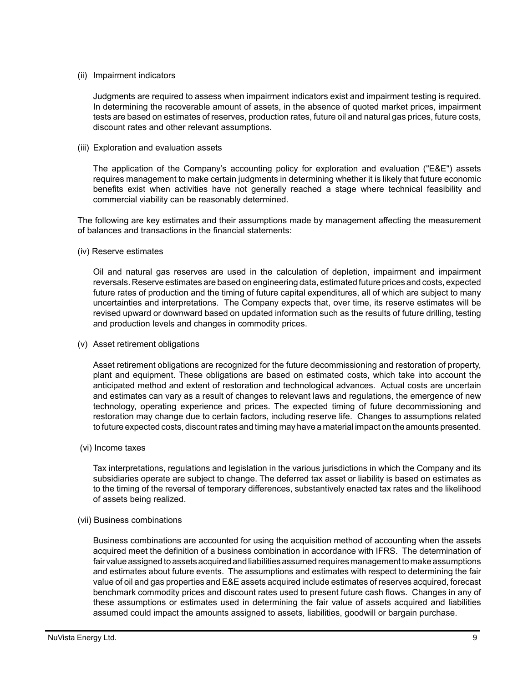#### (ii) Impairment indicators

Judgments are required to assess when impairment indicators exist and impairment testing is required. In determining the recoverable amount of assets, in the absence of quoted market prices, impairment tests are based on estimates of reserves, production rates, future oil and natural gas prices, future costs, discount rates and other relevant assumptions.

### (iii) Exploration and evaluation assets

The application of the Company's accounting policy for exploration and evaluation ("E&E") assets requires management to make certain judgments in determining whether it is likely that future economic benefits exist when activities have not generally reached a stage where technical feasibility and commercial viability can be reasonably determined.

The following are key estimates and their assumptions made by management affecting the measurement of balances and transactions in the financial statements:

### (iv) Reserve estimates

Oil and natural gas reserves are used in the calculation of depletion, impairment and impairment reversals. Reserve estimates are based on engineering data, estimated future prices and costs, expected future rates of production and the timing of future capital expenditures, all of which are subject to many uncertainties and interpretations. The Company expects that, over time, its reserve estimates will be revised upward or downward based on updated information such as the results of future drilling, testing and production levels and changes in commodity prices.

#### (v) Asset retirement obligations

Asset retirement obligations are recognized for the future decommissioning and restoration of property, plant and equipment. These obligations are based on estimated costs, which take into account the anticipated method and extent of restoration and technological advances. Actual costs are uncertain and estimates can vary as a result of changes to relevant laws and regulations, the emergence of new technology, operating experience and prices. The expected timing of future decommissioning and restoration may change due to certain factors, including reserve life. Changes to assumptions related to future expected costs, discount rates and timing may have a material impact on the amounts presented.

#### (vi) Income taxes

Tax interpretations, regulations and legislation in the various jurisdictions in which the Company and its subsidiaries operate are subject to change. The deferred tax asset or liability is based on estimates as to the timing of the reversal of temporary differences, substantively enacted tax rates and the likelihood of assets being realized.

#### (vii) Business combinations

Business combinations are accounted for using the acquisition method of accounting when the assets acquired meet the definition of a business combination in accordance with IFRS. The determination of fair value assigned to assets acquired and liabilities assumed requires management to make assumptions and estimates about future events. The assumptions and estimates with respect to determining the fair value of oil and gas properties and E&E assets acquired include estimates of reserves acquired, forecast benchmark commodity prices and discount rates used to present future cash flows. Changes in any of these assumptions or estimates used in determining the fair value of assets acquired and liabilities assumed could impact the amounts assigned to assets, liabilities, goodwill or bargain purchase.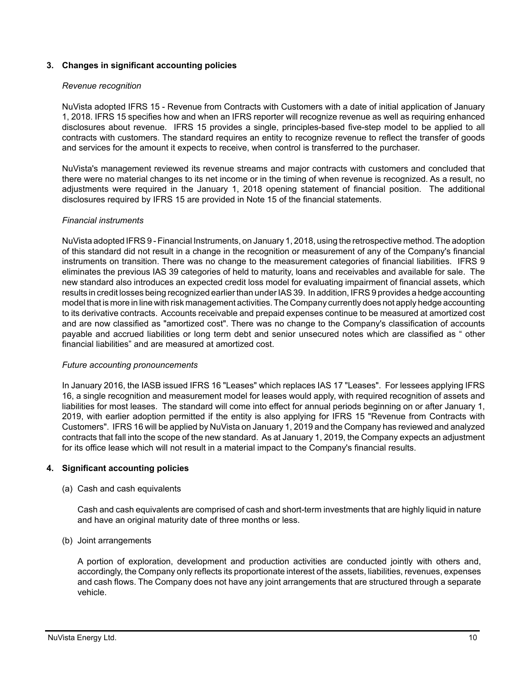## **3. Changes in significant accounting policies**

### *Revenue recognition*

NuVista adopted IFRS 15 - Revenue from Contracts with Customers with a date of initial application of January 1, 2018. IFRS 15 specifies how and when an IFRS reporter will recognize revenue as well as requiring enhanced disclosures about revenue. IFRS 15 provides a single, principles-based five-step model to be applied to all contracts with customers. The standard requires an entity to recognize revenue to reflect the transfer of goods and services for the amount it expects to receive, when control is transferred to the purchaser.

NuVista's management reviewed its revenue streams and major contracts with customers and concluded that there were no material changes to its net income or in the timing of when revenue is recognized. As a result, no adjustments were required in the January 1, 2018 opening statement of financial position. The additional disclosures required by IFRS 15 are provided in Note 15 of the financial statements.

### *Financial instruments*

NuVista adopted IFRS 9 - Financial Instruments, on January 1, 2018, using the retrospective method. The adoption of this standard did not result in a change in the recognition or measurement of any of the Company's financial instruments on transition. There was no change to the measurement categories of financial liabilities. IFRS 9 eliminates the previous IAS 39 categories of held to maturity, loans and receivables and available for sale. The new standard also introduces an expected credit loss model for evaluating impairment of financial assets, which results in credit losses being recognized earlier than under IAS 39. In addition, IFRS 9 provides a hedge accounting model that is more in line with risk management activities. The Company currently does not apply hedge accounting to its derivative contracts. Accounts receivable and prepaid expenses continue to be measured at amortized cost and are now classified as "amortized cost". There was no change to the Company's classification of accounts payable and accrued liabilities or long term debt and senior unsecured notes which are classified as " other financial liabilities" and are measured at amortized cost.

#### *Future accounting pronouncements*

In January 2016, the IASB issued IFRS 16 "Leases" which replaces IAS 17 "Leases". For lessees applying IFRS 16, a single recognition and measurement model for leases would apply, with required recognition of assets and liabilities for most leases. The standard will come into effect for annual periods beginning on or after January 1, 2019, with earlier adoption permitted if the entity is also applying for IFRS 15 "Revenue from Contracts with Customers". IFRS 16 will be applied by NuVista on January 1, 2019 and the Company has reviewed and analyzed contracts that fall into the scope of the new standard. As at January 1, 2019, the Company expects an adjustment for its office lease which will not result in a material impact to the Company's financial results.

### **4. Significant accounting policies**

#### (a) Cash and cash equivalents

Cash and cash equivalents are comprised of cash and short-term investments that are highly liquid in nature and have an original maturity date of three months or less.

(b) Joint arrangements

A portion of exploration, development and production activities are conducted jointly with others and, accordingly, the Company only reflects its proportionate interest of the assets, liabilities, revenues, expenses and cash flows. The Company does not have any joint arrangements that are structured through a separate vehicle.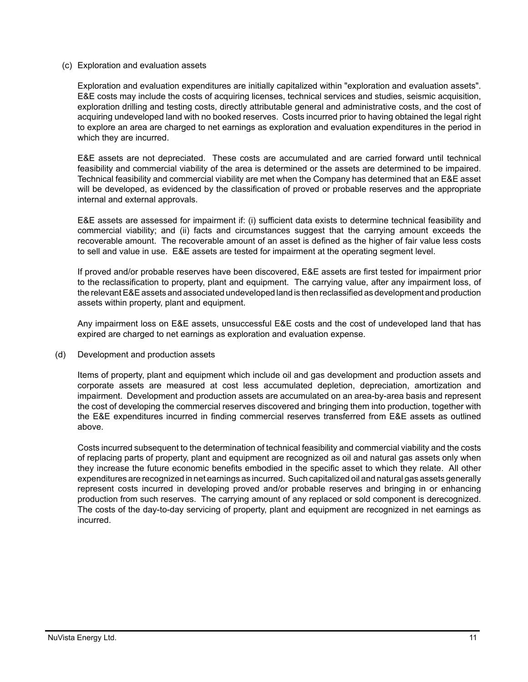(c) Exploration and evaluation assets

Exploration and evaluation expenditures are initially capitalized within "exploration and evaluation assets". E&E costs may include the costs of acquiring licenses, technical services and studies, seismic acquisition, exploration drilling and testing costs, directly attributable general and administrative costs, and the cost of acquiring undeveloped land with no booked reserves. Costs incurred prior to having obtained the legal right to explore an area are charged to net earnings as exploration and evaluation expenditures in the period in which they are incurred.

E&E assets are not depreciated. These costs are accumulated and are carried forward until technical feasibility and commercial viability of the area is determined or the assets are determined to be impaired. Technical feasibility and commercial viability are met when the Company has determined that an E&E asset will be developed, as evidenced by the classification of proved or probable reserves and the appropriate internal and external approvals.

E&E assets are assessed for impairment if: (i) sufficient data exists to determine technical feasibility and commercial viability; and (ii) facts and circumstances suggest that the carrying amount exceeds the recoverable amount. The recoverable amount of an asset is defined as the higher of fair value less costs to sell and value in use. E&E assets are tested for impairment at the operating segment level.

If proved and/or probable reserves have been discovered, E&E assets are first tested for impairment prior to the reclassification to property, plant and equipment. The carrying value, after any impairment loss, of the relevant E&E assets and associated undeveloped land is then reclassified as development and production assets within property, plant and equipment.

Any impairment loss on E&E assets, unsuccessful E&E costs and the cost of undeveloped land that has expired are charged to net earnings as exploration and evaluation expense.

(d) Development and production assets

Items of property, plant and equipment which include oil and gas development and production assets and corporate assets are measured at cost less accumulated depletion, depreciation, amortization and impairment. Development and production assets are accumulated on an area-by-area basis and represent the cost of developing the commercial reserves discovered and bringing them into production, together with the E&E expenditures incurred in finding commercial reserves transferred from E&E assets as outlined above.

Costs incurred subsequent to the determination of technical feasibility and commercial viability and the costs of replacing parts of property, plant and equipment are recognized as oil and natural gas assets only when they increase the future economic benefits embodied in the specific asset to which they relate. All other expenditures are recognized in net earnings as incurred. Such capitalized oil and natural gas assets generally represent costs incurred in developing proved and/or probable reserves and bringing in or enhancing production from such reserves. The carrying amount of any replaced or sold component is derecognized. The costs of the day-to-day servicing of property, plant and equipment are recognized in net earnings as incurred.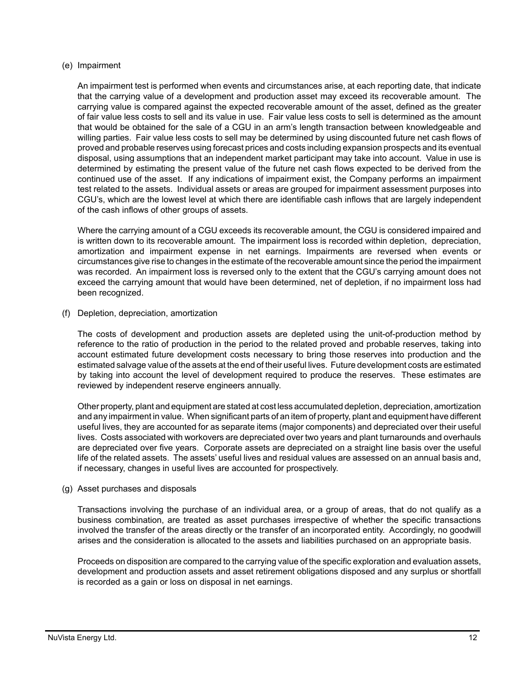### (e) Impairment

An impairment test is performed when events and circumstances arise, at each reporting date, that indicate that the carrying value of a development and production asset may exceed its recoverable amount. The carrying value is compared against the expected recoverable amount of the asset, defined as the greater of fair value less costs to sell and its value in use. Fair value less costs to sell is determined as the amount that would be obtained for the sale of a CGU in an arm's length transaction between knowledgeable and willing parties. Fair value less costs to sell may be determined by using discounted future net cash flows of proved and probable reserves using forecast prices and costs including expansion prospects and its eventual disposal, using assumptions that an independent market participant may take into account. Value in use is determined by estimating the present value of the future net cash flows expected to be derived from the continued use of the asset. If any indications of impairment exist, the Company performs an impairment test related to the assets. Individual assets or areas are grouped for impairment assessment purposes into CGU's, which are the lowest level at which there are identifiable cash inflows that are largely independent of the cash inflows of other groups of assets.

Where the carrying amount of a CGU exceeds its recoverable amount, the CGU is considered impaired and is written down to its recoverable amount. The impairment loss is recorded within depletion, depreciation, amortization and impairment expense in net earnings. Impairments are reversed when events or circumstances give rise to changes in the estimate of the recoverable amount since the period the impairment was recorded. An impairment loss is reversed only to the extent that the CGU's carrying amount does not exceed the carrying amount that would have been determined, net of depletion, if no impairment loss had been recognized.

(f) Depletion, depreciation, amortization

The costs of development and production assets are depleted using the unit-of-production method by reference to the ratio of production in the period to the related proved and probable reserves, taking into account estimated future development costs necessary to bring those reserves into production and the estimated salvage value of the assets at the end of their useful lives. Future development costs are estimated by taking into account the level of development required to produce the reserves. These estimates are reviewed by independent reserve engineers annually.

Other property, plant and equipment are stated at cost less accumulated depletion, depreciation, amortization and any impairment in value. When significant parts of an item of property, plant and equipment have different useful lives, they are accounted for as separate items (major components) and depreciated over their useful lives. Costs associated with workovers are depreciated over two years and plant turnarounds and overhauls are depreciated over five years. Corporate assets are depreciated on a straight line basis over the useful life of the related assets. The assets' useful lives and residual values are assessed on an annual basis and, if necessary, changes in useful lives are accounted for prospectively.

#### (g) Asset purchases and disposals

Transactions involving the purchase of an individual area, or a group of areas, that do not qualify as a business combination, are treated as asset purchases irrespective of whether the specific transactions involved the transfer of the areas directly or the transfer of an incorporated entity. Accordingly, no goodwill arises and the consideration is allocated to the assets and liabilities purchased on an appropriate basis.

Proceeds on disposition are compared to the carrying value of the specific exploration and evaluation assets, development and production assets and asset retirement obligations disposed and any surplus or shortfall is recorded as a gain or loss on disposal in net earnings.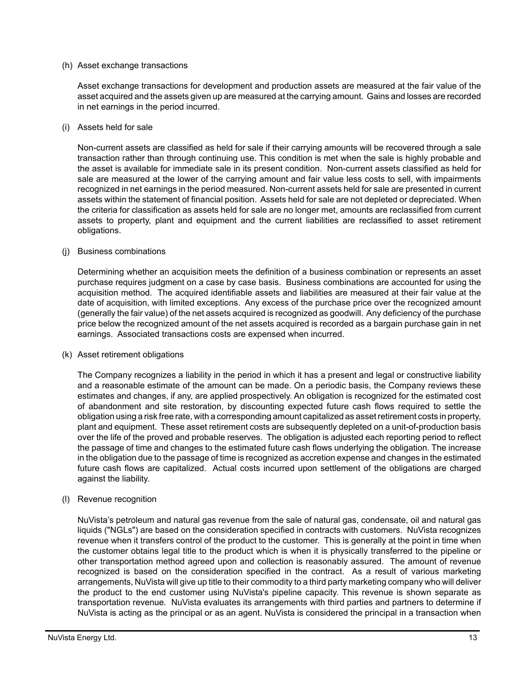#### (h) Asset exchange transactions

Asset exchange transactions for development and production assets are measured at the fair value of the asset acquired and the assets given up are measured at the carrying amount. Gains and losses are recorded in net earnings in the period incurred.

### (i) Assets held for sale

Non-current assets are classified as held for sale if their carrying amounts will be recovered through a sale transaction rather than through continuing use. This condition is met when the sale is highly probable and the asset is available for immediate sale in its present condition. Non-current assets classified as held for sale are measured at the lower of the carrying amount and fair value less costs to sell, with impairments recognized in net earnings in the period measured. Non-current assets held for sale are presented in current assets within the statement of financial position. Assets held for sale are not depleted or depreciated. When the criteria for classification as assets held for sale are no longer met, amounts are reclassified from current assets to property, plant and equipment and the current liabilities are reclassified to asset retirement obligations.

### (j) Business combinations

Determining whether an acquisition meets the definition of a business combination or represents an asset purchase requires judgment on a case by case basis. Business combinations are accounted for using the acquisition method. The acquired identifiable assets and liabilities are measured at their fair value at the date of acquisition, with limited exceptions. Any excess of the purchase price over the recognized amount (generally the fair value) of the net assets acquired is recognized as goodwill. Any deficiency of the purchase price below the recognized amount of the net assets acquired is recorded as a bargain purchase gain in net earnings. Associated transactions costs are expensed when incurred.

#### (k) Asset retirement obligations

The Company recognizes a liability in the period in which it has a present and legal or constructive liability and a reasonable estimate of the amount can be made. On a periodic basis, the Company reviews these estimates and changes, if any, are applied prospectively. An obligation is recognized for the estimated cost of abandonment and site restoration, by discounting expected future cash flows required to settle the obligation using a risk free rate, with a corresponding amount capitalized as asset retirement costs in property, plant and equipment. These asset retirement costs are subsequently depleted on a unit-of-production basis over the life of the proved and probable reserves. The obligation is adjusted each reporting period to reflect the passage of time and changes to the estimated future cash flows underlying the obligation. The increase in the obligation due to the passage of time is recognized as accretion expense and changes in the estimated future cash flows are capitalized. Actual costs incurred upon settlement of the obligations are charged against the liability.

### (l) Revenue recognition

NuVista's petroleum and natural gas revenue from the sale of natural gas, condensate, oil and natural gas liquids ("NGLs") are based on the consideration specified in contracts with customers. NuVista recognizes revenue when it transfers control of the product to the customer. This is generally at the point in time when the customer obtains legal title to the product which is when it is physically transferred to the pipeline or other transportation method agreed upon and collection is reasonably assured. The amount of revenue recognized is based on the consideration specified in the contract. As a result of various marketing arrangements, NuVista will give up title to their commodity to a third party marketing company who will deliver the product to the end customer using NuVista's pipeline capacity. This revenue is shown separate as transportation revenue*.* NuVista evaluates its arrangements with third parties and partners to determine if NuVista is acting as the principal or as an agent. NuVista is considered the principal in a transaction when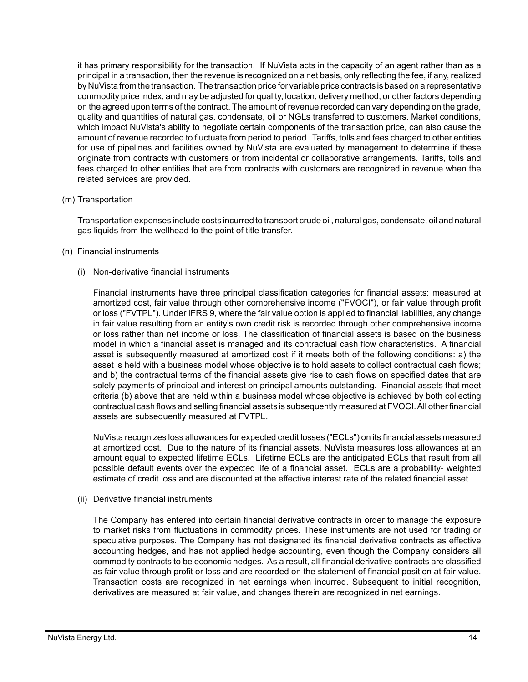it has primary responsibility for the transaction. If NuVista acts in the capacity of an agent rather than as a principal in a transaction, then the revenue is recognized on a net basis, only reflecting the fee, if any, realized by NuVista from the transaction. The transaction price for variable price contracts is based on a representative commodity price index, and may be adjusted for quality, location, delivery method, or other factors depending on the agreed upon terms of the contract. The amount of revenue recorded can vary depending on the grade, quality and quantities of natural gas, condensate, oil or NGLs transferred to customers. Market conditions, which impact NuVista's ability to negotiate certain components of the transaction price, can also cause the amount of revenue recorded to fluctuate from period to period. Tariffs, tolls and fees charged to other entities for use of pipelines and facilities owned by NuVista are evaluated by management to determine if these originate from contracts with customers or from incidental or collaborative arrangements. Tariffs, tolls and fees charged to other entities that are from contracts with customers are recognized in revenue when the related services are provided.

### (m) Transportation

Transportation expenses include costs incurred to transport crude oil, natural gas, condensate, oil and natural gas liquids from the wellhead to the point of title transfer.

### (n) Financial instruments

(i) Non-derivative financial instruments

Financial instruments have three principal classification categories for financial assets: measured at amortized cost, fair value through other comprehensive income ("FVOCI"), or fair value through profit or loss ("FVTPL"). Under IFRS 9, where the fair value option is applied to financial liabilities, any change in fair value resulting from an entity's own credit risk is recorded through other comprehensive income or loss rather than net income or loss. The classification of financial assets is based on the business model in which a financial asset is managed and its contractual cash flow characteristics. A financial asset is subsequently measured at amortized cost if it meets both of the following conditions: a) the asset is held with a business model whose objective is to hold assets to collect contractual cash flows; and b) the contractual terms of the financial assets give rise to cash flows on specified dates that are solely payments of principal and interest on principal amounts outstanding. Financial assets that meet criteria (b) above that are held within a business model whose objective is achieved by both collecting contractual cash flows and selling financial assets is subsequently measured at FVOCI. All other financial assets are subsequently measured at FVTPL.

NuVista recognizes loss allowances for expected credit losses ("ECLs") on its financial assets measured at amortized cost. Due to the nature of its financial assets, NuVista measures loss allowances at an amount equal to expected lifetime ECLs. Lifetime ECLs are the anticipated ECLs that result from all possible default events over the expected life of a financial asset. ECLs are a probability- weighted estimate of credit loss and are discounted at the effective interest rate of the related financial asset.

(ii) Derivative financial instruments

The Company has entered into certain financial derivative contracts in order to manage the exposure to market risks from fluctuations in commodity prices. These instruments are not used for trading or speculative purposes. The Company has not designated its financial derivative contracts as effective accounting hedges, and has not applied hedge accounting, even though the Company considers all commodity contracts to be economic hedges. As a result, all financial derivative contracts are classified as fair value through profit or loss and are recorded on the statement of financial position at fair value. Transaction costs are recognized in net earnings when incurred. Subsequent to initial recognition, derivatives are measured at fair value, and changes therein are recognized in net earnings.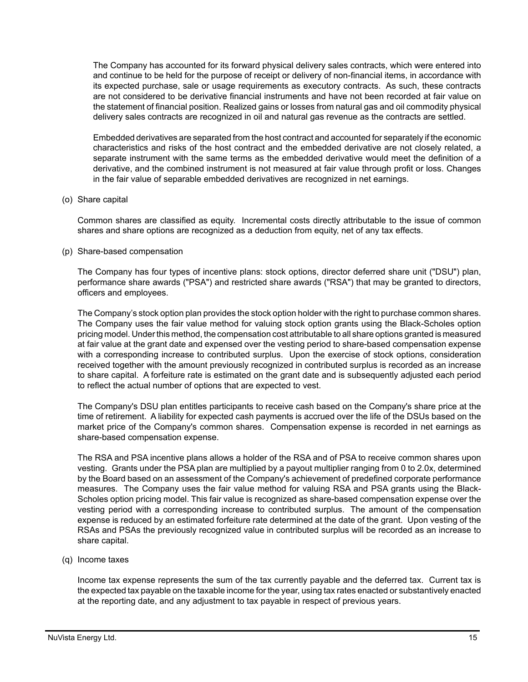The Company has accounted for its forward physical delivery sales contracts, which were entered into and continue to be held for the purpose of receipt or delivery of non-financial items, in accordance with its expected purchase, sale or usage requirements as executory contracts. As such, these contracts are not considered to be derivative financial instruments and have not been recorded at fair value on the statement of financial position. Realized gains or losses from natural gas and oil commodity physical delivery sales contracts are recognized in oil and natural gas revenue as the contracts are settled.

Embedded derivatives are separated from the host contract and accounted for separately if the economic characteristics and risks of the host contract and the embedded derivative are not closely related, a separate instrument with the same terms as the embedded derivative would meet the definition of a derivative, and the combined instrument is not measured at fair value through profit or loss. Changes in the fair value of separable embedded derivatives are recognized in net earnings.

### (o) Share capital

Common shares are classified as equity. Incremental costs directly attributable to the issue of common shares and share options are recognized as a deduction from equity, net of any tax effects.

### (p) Share-based compensation

The Company has four types of incentive plans: stock options, director deferred share unit ("DSU") plan, performance share awards ("PSA") and restricted share awards ("RSA") that may be granted to directors, officers and employees.

The Company's stock option plan provides the stock option holder with the right to purchase common shares. The Company uses the fair value method for valuing stock option grants using the Black-Scholes option pricing model. Under this method, the compensation cost attributable to all share options granted is measured at fair value at the grant date and expensed over the vesting period to share-based compensation expense with a corresponding increase to contributed surplus. Upon the exercise of stock options, consideration received together with the amount previously recognized in contributed surplus is recorded as an increase to share capital. A forfeiture rate is estimated on the grant date and is subsequently adjusted each period to reflect the actual number of options that are expected to vest.

The Company's DSU plan entitles participants to receive cash based on the Company's share price at the time of retirement. A liability for expected cash payments is accrued over the life of the DSUs based on the market price of the Company's common shares. Compensation expense is recorded in net earnings as share-based compensation expense.

The RSA and PSA incentive plans allows a holder of the RSA and of PSA to receive common shares upon vesting. Grants under the PSA plan are multiplied by a payout multiplier ranging from 0 to 2.0x, determined by the Board based on an assessment of the Company's achievement of predefined corporate performance measures. The Company uses the fair value method for valuing RSA and PSA grants using the Black-Scholes option pricing model. This fair value is recognized as share-based compensation expense over the vesting period with a corresponding increase to contributed surplus. The amount of the compensation expense is reduced by an estimated forfeiture rate determined at the date of the grant. Upon vesting of the RSAs and PSAs the previously recognized value in contributed surplus will be recorded as an increase to share capital.

(q) Income taxes

Income tax expense represents the sum of the tax currently payable and the deferred tax. Current tax is the expected tax payable on the taxable income for the year, using tax rates enacted or substantively enacted at the reporting date, and any adjustment to tax payable in respect of previous years.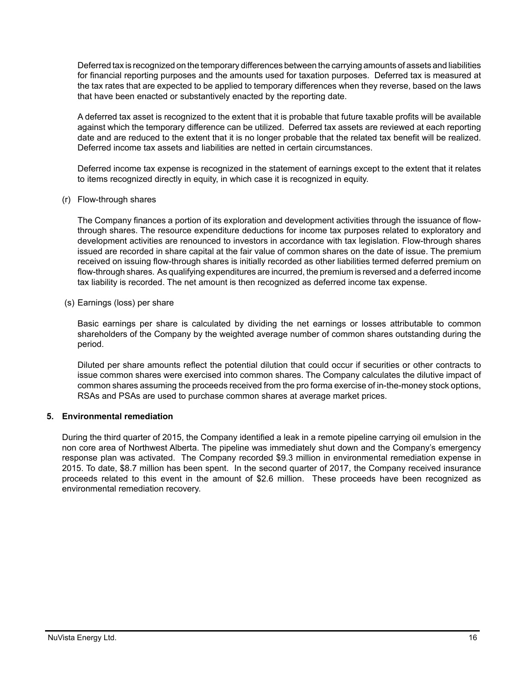Deferred tax is recognized on the temporary differences between the carrying amounts of assets and liabilities for financial reporting purposes and the amounts used for taxation purposes. Deferred tax is measured at the tax rates that are expected to be applied to temporary differences when they reverse, based on the laws that have been enacted or substantively enacted by the reporting date.

A deferred tax asset is recognized to the extent that it is probable that future taxable profits will be available against which the temporary difference can be utilized. Deferred tax assets are reviewed at each reporting date and are reduced to the extent that it is no longer probable that the related tax benefit will be realized. Deferred income tax assets and liabilities are netted in certain circumstances.

Deferred income tax expense is recognized in the statement of earnings except to the extent that it relates to items recognized directly in equity, in which case it is recognized in equity.

### (r) Flow-through shares

The Company finances a portion of its exploration and development activities through the issuance of flowthrough shares. The resource expenditure deductions for income tax purposes related to exploratory and development activities are renounced to investors in accordance with tax legislation. Flow-through shares issued are recorded in share capital at the fair value of common shares on the date of issue. The premium received on issuing flow-through shares is initially recorded as other liabilities termed deferred premium on flow-through shares. As qualifying expenditures are incurred, the premium is reversed and a deferred income tax liability is recorded. The net amount is then recognized as deferred income tax expense.

### (s) Earnings (loss) per share

Basic earnings per share is calculated by dividing the net earnings or losses attributable to common shareholders of the Company by the weighted average number of common shares outstanding during the period.

Diluted per share amounts reflect the potential dilution that could occur if securities or other contracts to issue common shares were exercised into common shares. The Company calculates the dilutive impact of common shares assuming the proceeds received from the pro forma exercise of in-the-money stock options, RSAs and PSAs are used to purchase common shares at average market prices.

### **5. Environmental remediation**

During the third quarter of 2015, the Company identified a leak in a remote pipeline carrying oil emulsion in the non core area of Northwest Alberta. The pipeline was immediately shut down and the Company's emergency response plan was activated. The Company recorded \$9.3 million in environmental remediation expense in 2015. To date, \$8.7 million has been spent. In the second quarter of 2017, the Company received insurance proceeds related to this event in the amount of \$2.6 million. These proceeds have been recognized as environmental remediation recovery.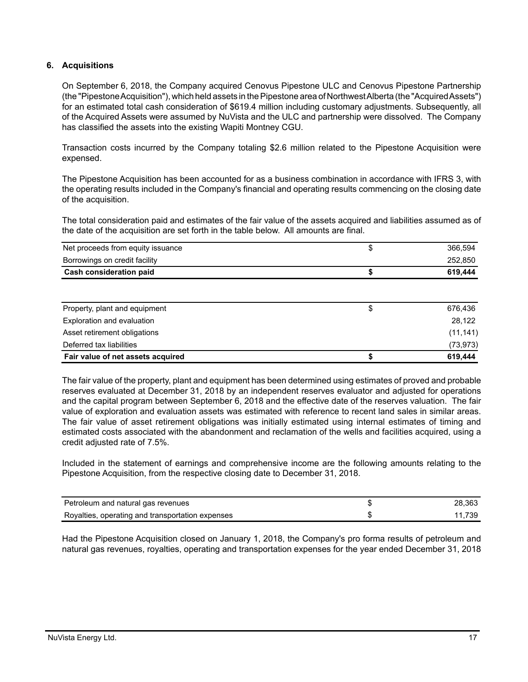## **6. Acquisitions**

On September 6, 2018, the Company acquired Cenovus Pipestone ULC and Cenovus Pipestone Partnership (the "Pipestone Acquisition"), which held assets in the Pipestone area of Northwest Alberta (the "Acquired Assets") for an estimated total cash consideration of \$619.4 million including customary adjustments. Subsequently, all of the Acquired Assets were assumed by NuVista and the ULC and partnership were dissolved. The Company has classified the assets into the existing Wapiti Montney CGU.

Transaction costs incurred by the Company totaling \$2.6 million related to the Pipestone Acquisition were expensed.

The Pipestone Acquisition has been accounted for as a business combination in accordance with IFRS 3, with the operating results included in the Company's financial and operating results commencing on the closing date of the acquisition.

The total consideration paid and estimates of the fair value of the assets acquired and liabilities assumed as of the date of the acquisition are set forth in the table below. All amounts are final.

| Net proceeds from equity issuance | 366.594 |
|-----------------------------------|---------|
| Borrowings on credit facility     | 252.850 |
| <b>Cash consideration paid</b>    | 619.444 |

| Property, plant and equipment     | 676,436   |
|-----------------------------------|-----------|
| Exploration and evaluation        | 28.122    |
| Asset retirement obligations      | (11, 141) |
| Deferred tax liabilities          | (73, 973) |
| Fair value of net assets acquired | 619.444   |

The fair value of the property, plant and equipment has been determined using estimates of proved and probable reserves evaluated at December 31, 2018 by an independent reserves evaluator and adjusted for operations and the capital program between September 6, 2018 and the effective date of the reserves valuation. The fair value of exploration and evaluation assets was estimated with reference to recent land sales in similar areas. The fair value of asset retirement obligations was initially estimated using internal estimates of timing and estimated costs associated with the abandonment and reclamation of the wells and facilities acquired, using a credit adjusted rate of 7.5%.

Included in the statement of earnings and comprehensive income are the following amounts relating to the Pipestone Acquisition, from the respective closing date to December 31, 2018.

| Petroleum and natural gas revenues               | 28.363 |
|--------------------------------------------------|--------|
| Royalties, operating and transportation expenses |        |

Had the Pipestone Acquisition closed on January 1, 2018, the Company's pro forma results of petroleum and natural gas revenues, royalties, operating and transportation expenses for the year ended December 31, 2018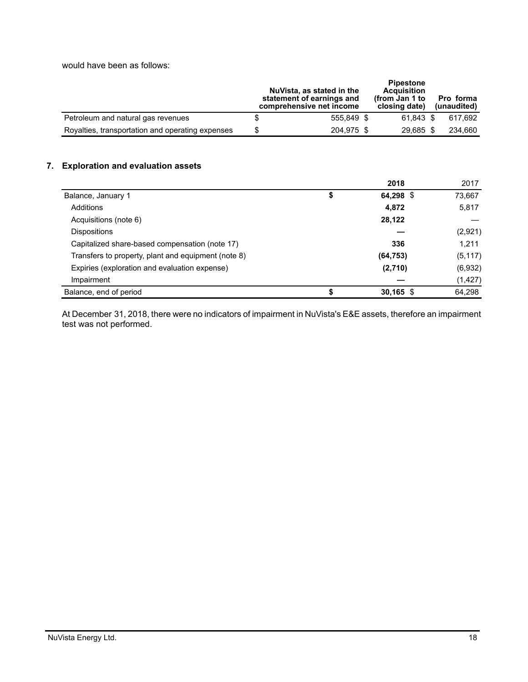would have been as follows:

|                                                  | NuVista, as stated in the<br>statement of earnings and<br>comprehensive net income | <b>Pipestone</b><br><b>Acquisition</b><br>(from Jan 1 to<br>closing date) | <b>Pro forma</b><br>(unaudited) |
|--------------------------------------------------|------------------------------------------------------------------------------------|---------------------------------------------------------------------------|---------------------------------|
| Petroleum and natural gas revenues               | 555.849 \$                                                                         | 61.843 \$                                                                 | 617.692                         |
| Royalties, transportation and operating expenses | 204.975 \$                                                                         | 29.685 \$                                                                 | 234.660                         |

## **7. Exploration and evaluation assets**

|                                                     |    | 2018        | 2017     |
|-----------------------------------------------------|----|-------------|----------|
| Balance, January 1                                  | \$ | 64,298 \$   | 73,667   |
| Additions                                           |    | 4,872       | 5,817    |
| Acquisitions (note 6)                               |    | 28,122      |          |
| <b>Dispositions</b>                                 |    |             | (2,921)  |
| Capitalized share-based compensation (note 17)      |    | 336         | 1,211    |
| Transfers to property, plant and equipment (note 8) |    | (64, 753)   | (5, 117) |
| Expiries (exploration and evaluation expense)       |    | (2,710)     | (6,932)  |
| Impairment                                          |    |             | (1, 427) |
| Balance, end of period                              | S  | $30,165$ \$ | 64,298   |

At December 31, 2018, there were no indicators of impairment in NuVista's E&E assets, therefore an impairment test was not performed.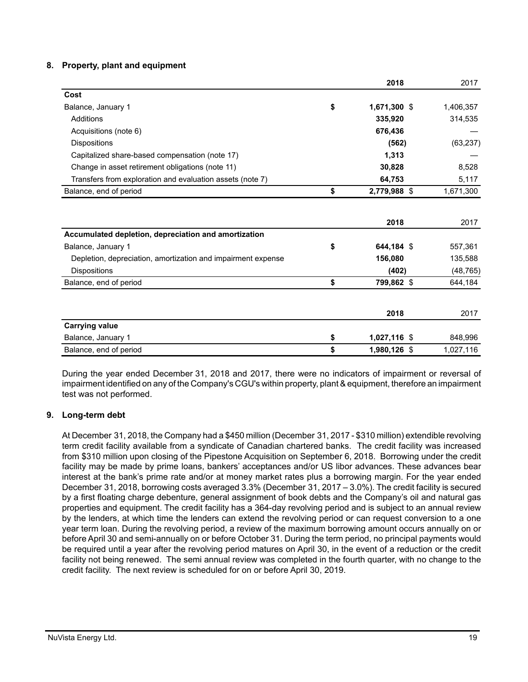### **8. Property, plant and equipment**

|                                                                                                                                                                   | 2018                                         | 2017                                    |
|-------------------------------------------------------------------------------------------------------------------------------------------------------------------|----------------------------------------------|-----------------------------------------|
| Cost                                                                                                                                                              |                                              |                                         |
| Balance, January 1                                                                                                                                                | \$<br>1,671,300 \$                           | 1,406,357                               |
| Additions                                                                                                                                                         | 335.920                                      | 314,535                                 |
| Acquisitions (note 6)                                                                                                                                             | 676,436                                      |                                         |
| Dispositions                                                                                                                                                      | (562)                                        | (63, 237)                               |
| Capitalized share-based compensation (note 17)                                                                                                                    | 1,313                                        |                                         |
| Change in asset retirement obligations (note 11)                                                                                                                  | 30,828                                       | 8,528                                   |
| Transfers from exploration and evaluation assets (note 7)                                                                                                         | 64,753                                       | 5,117                                   |
| Balance, end of period                                                                                                                                            | \$<br>2,779,988 \$                           | 1,671,300                               |
| Accumulated depletion, depreciation and amortization<br>Balance, January 1<br>Depletion, depreciation, amortization and impairment expense<br><b>Dispositions</b> | \$<br>2018<br>644,184 \$<br>156,080<br>(402) | 2017<br>557,361<br>135,588<br>(48, 765) |
| Balance, end of period                                                                                                                                            | \$<br>799,862 \$                             | 644,184                                 |
|                                                                                                                                                                   | 2018                                         | 2017                                    |
| <b>Carrying value</b><br>Balance, January 1                                                                                                                       | \$<br>1,027,116 \$                           | 848,996                                 |
| Balance, end of period                                                                                                                                            | \$<br>1,980,126 \$                           | 1,027,116                               |

During the year ended December 31, 2018 and 2017, there were no indicators of impairment or reversal of impairment identified on any of the Company's CGU's within property, plant & equipment, therefore an impairment test was not performed.

## **9. Long-term debt**

At December 31, 2018, the Company had a \$450 million (December 31, 2017 - \$310 million) extendible revolving term credit facility available from a syndicate of Canadian chartered banks. The credit facility was increased from \$310 million upon closing of the Pipestone Acquisition on September 6, 2018. Borrowing under the credit facility may be made by prime loans, bankers' acceptances and/or US libor advances. These advances bear interest at the bank's prime rate and/or at money market rates plus a borrowing margin. For the year ended December 31, 2018, borrowing costs averaged 3.3% (December 31, 2017 – 3.0%). The credit facility is secured by a first floating charge debenture, general assignment of book debts and the Company's oil and natural gas properties and equipment. The credit facility has a 364-day revolving period and is subject to an annual review by the lenders, at which time the lenders can extend the revolving period or can request conversion to a one year term loan. During the revolving period, a review of the maximum borrowing amount occurs annually on or before April 30 and semi-annually on or before October 31. During the term period, no principal payments would be required until a year after the revolving period matures on April 30, in the event of a reduction or the credit facility not being renewed. The semi annual review was completed in the fourth quarter, with no change to the credit facility. The next review is scheduled for on or before April 30, 2019.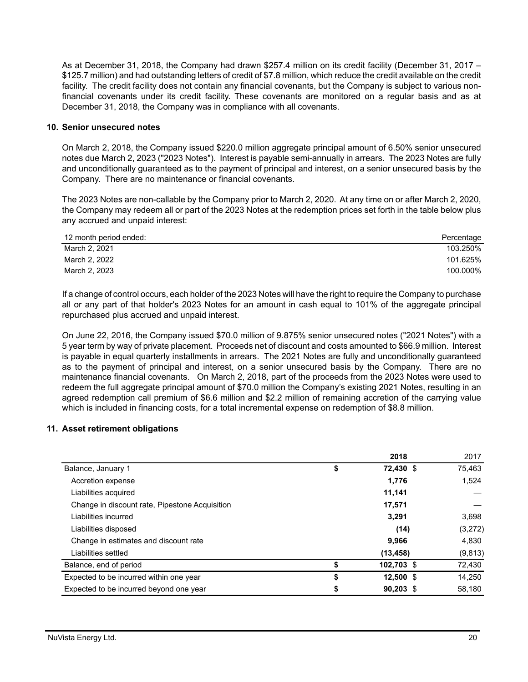As at December 31, 2018, the Company had drawn \$257.4 million on its credit facility (December 31, 2017 – \$125.7 million) and had outstanding letters of credit of \$7.8 million, which reduce the credit available on the credit facility. The credit facility does not contain any financial covenants, but the Company is subject to various nonfinancial covenants under its credit facility. These covenants are monitored on a regular basis and as at December 31, 2018, the Company was in compliance with all covenants.

### **10. Senior unsecured notes**

On March 2, 2018, the Company issued \$220.0 million aggregate principal amount of 6.50% senior unsecured notes due March 2, 2023 ("2023 Notes"). Interest is payable semi-annually in arrears. The 2023 Notes are fully and unconditionally guaranteed as to the payment of principal and interest, on a senior unsecured basis by the Company. There are no maintenance or financial covenants.

The 2023 Notes are non-callable by the Company prior to March 2, 2020. At any time on or after March 2, 2020, the Company may redeem all or part of the 2023 Notes at the redemption prices set forth in the table below plus any accrued and unpaid interest:

| 12 month period ended: | Percentage |
|------------------------|------------|
| March 2, 2021          | 103.250%   |
| March 2, 2022          | 101.625%   |
| March 2, 2023          | 100.000%   |

If a change of control occurs, each holder of the 2023 Notes will have the right to require the Company to purchase all or any part of that holder's 2023 Notes for an amount in cash equal to 101% of the aggregate principal repurchased plus accrued and unpaid interest.

On June 22, 2016, the Company issued \$70.0 million of 9.875% senior unsecured notes ("2021 Notes") with a 5 year term by way of private placement. Proceeds net of discount and costs amounted to \$66.9 million. Interest is payable in equal quarterly installments in arrears. The 2021 Notes are fully and unconditionally guaranteed as to the payment of principal and interest, on a senior unsecured basis by the Company. There are no maintenance financial covenants. On March 2, 2018, part of the proceeds from the 2023 Notes were used to redeem the full aggregate principal amount of \$70.0 million the Company's existing 2021 Notes, resulting in an agreed redemption call premium of \$6.6 million and \$2.2 million of remaining accretion of the carrying value which is included in financing costs, for a total incremental expense on redemption of \$8.8 million.

### **11. Asset retirement obligations**

|                                                | 2018              | 2017     |
|------------------------------------------------|-------------------|----------|
| Balance, January 1                             | \$<br>72,430 \$   | 75,463   |
| Accretion expense                              | 1,776             | 1,524    |
| Liabilities acquired                           | 11,141            |          |
| Change in discount rate, Pipestone Acquisition | 17,571            |          |
| Liabilities incurred                           | 3,291             | 3,698    |
| Liabilities disposed                           | (14)              | (3,272)  |
| Change in estimates and discount rate          | 9,966             | 4,830    |
| Liabilities settled                            | (13, 458)         | (9, 813) |
| Balance, end of period                         | 102,703 \$        | 72,430   |
| Expected to be incurred within one year        | \$<br>$12,500$ \$ | 14,250   |
| Expected to be incurred beyond one year        | \$<br>$90,203$ \$ | 58,180   |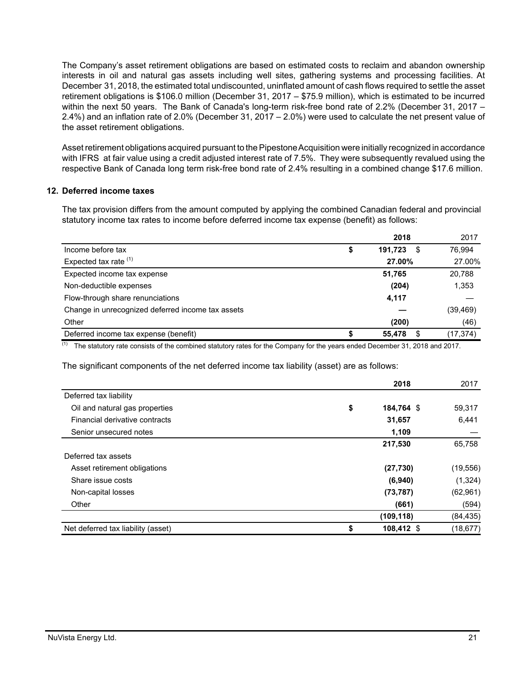The Company's asset retirement obligations are based on estimated costs to reclaim and abandon ownership interests in oil and natural gas assets including well sites, gathering systems and processing facilities. At December 31, 2018, the estimated total undiscounted, uninflated amount of cash flows required to settle the asset retirement obligations is \$106.0 million (December 31, 2017 – \$75.9 million), which is estimated to be incurred within the next 50 years. The Bank of Canada's long-term risk-free bond rate of 2.2% (December 31, 2017 – 2.4%) and an inflation rate of 2.0% (December 31, 2017 – 2.0%) were used to calculate the net present value of the asset retirement obligations.

Asset retirement obligations acquired pursuant to the Pipestone Acquisition were initially recognized in accordance with IFRS at fair value using a credit adjusted interest rate of 7.5%. They were subsequently revalued using the respective Bank of Canada long term risk-free bond rate of 2.4% resulting in a combined change \$17.6 million.

### **12. Deferred income taxes**

The tax provision differs from the amount computed by applying the combined Canadian federal and provincial statutory income tax rates to income before deferred income tax expense (benefit) as follows:

|                                                   | 2018                | 2017      |
|---------------------------------------------------|---------------------|-----------|
| Income before tax                                 | \$<br>191,723<br>\$ | 76.994    |
| Expected tax rate $(1)$                           | 27.00%              | 27.00%    |
| Expected income tax expense                       | 51,765              | 20,788    |
| Non-deductible expenses                           | (204)               | 1,353     |
| Flow-through share renunciations                  | 4,117               |           |
| Change in unrecognized deferred income tax assets |                     | (39, 469) |
| Other                                             | (200)               | (46)      |
| Deferred income tax expense (benefit)             | 55.478              | (17,374)  |

 $(1)$  The statutory rate consists of the combined statutory rates for the Company for the years ended December 31, 2018 and 2017.

The significant components of the net deferred income tax liability (asset) are as follows:

|                                    | 2018             | 2017      |
|------------------------------------|------------------|-----------|
| Deferred tax liability             |                  |           |
| Oil and natural gas properties     | \$<br>184,764 \$ | 59,317    |
| Financial derivative contracts     | 31,657           | 6,441     |
| Senior unsecured notes             | 1,109            |           |
|                                    | 217,530          | 65,758    |
| Deferred tax assets                |                  |           |
| Asset retirement obligations       | (27, 730)        | (19, 556) |
| Share issue costs                  | (6,940)          | (1, 324)  |
| Non-capital losses                 | (73, 787)        | (62, 961) |
| Other                              | (661)            | (594)     |
|                                    | (109, 118)       | (84, 435) |
| Net deferred tax liability (asset) | \$<br>108,412 \$ | (18,677)  |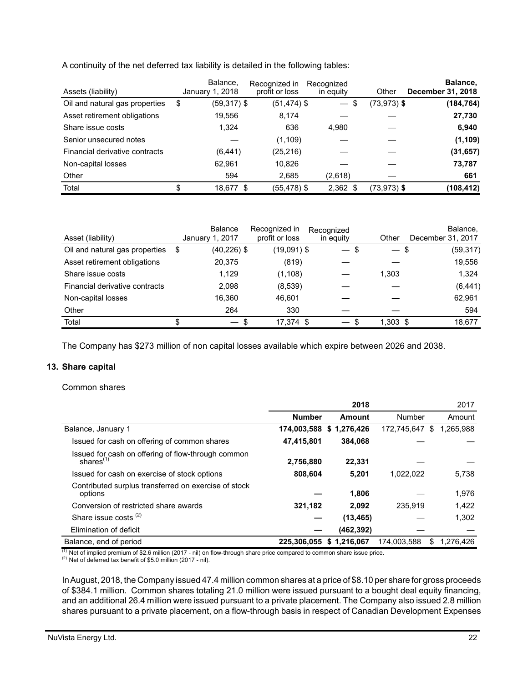A continuity of the net deferred tax liability is detailed in the following tables:

| Assets (liability)             |    | Balance.<br>January 1, 2018 | Recognized in<br>profit or loss | Recognized<br>in equity  | Other                | Balance,<br><b>December 31, 2018</b> |
|--------------------------------|----|-----------------------------|---------------------------------|--------------------------|----------------------|--------------------------------------|
| Oil and natural gas properties | \$ | $(59,317)$ \$               | (51,474) \$                     | $\overline{\phantom{0}}$ | $(73, 973)$ \$<br>\$ | (184, 764)                           |
| Asset retirement obligations   |    | 19,556                      | 8.174                           |                          |                      | 27,730                               |
| Share issue costs              |    | 1,324                       | 636                             | 4.980                    |                      | 6,940                                |
| Senior unsecured notes         |    |                             | (1, 109)                        |                          |                      | (1, 109)                             |
| Financial derivative contracts |    | (6, 441)                    | (25, 216)                       |                          |                      | (31, 657)                            |
| Non-capital losses             |    | 62.961                      | 10,826                          |                          |                      | 73,787                               |
| Other                          |    | 594                         | 2,685                           | (2,618)                  |                      | 661                                  |
| Total                          | S  | 18,677 \$                   | $(55, 478)$ \$                  | $2,362$ \$               | $(73, 973)$ \$       | (108, 412)                           |

| Asset (liability)              | <b>Balance</b><br>January 1, 2017 | Recognized in<br>profit or loss | Recognized<br>in equity  | Other                | Balance,<br>December 31, 2017 |
|--------------------------------|-----------------------------------|---------------------------------|--------------------------|----------------------|-------------------------------|
| Oil and natural gas properties | $(40, 226)$ \$<br>\$              | $(19,091)$ \$                   | $\qquad \qquad \qquad$   | -\$<br>$\frac{1}{2}$ | (59, 317)<br>\$               |
| Asset retirement obligations   | 20,375                            | (819)                           |                          |                      | 19,556                        |
| Share issue costs              | 1,129                             | (1, 108)                        |                          | 1.303                | 1.324                         |
| Financial derivative contracts | 2,098                             | (8,539)                         |                          |                      | (6, 441)                      |
| Non-capital losses             | 16.360                            | 46,601                          |                          |                      | 62,961                        |
| Other                          | 264                               | 330                             |                          |                      | 594                           |
| Total                          | $\overline{\phantom{0}}$          | 17.374 \$<br>-S                 | $\overline{\phantom{0}}$ | $1.303$ \$<br>- \$   | 18,677                        |

The Company has \$273 million of non capital losses available which expire between 2026 and 2038.

### **13. Share capital**

#### Common shares

|                                                                             |               | 2018        |             |   | 2017      |
|-----------------------------------------------------------------------------|---------------|-------------|-------------|---|-----------|
|                                                                             | <b>Number</b> | Amount      | Number      |   | Amount    |
| Balance, January 1                                                          | 174,003,588   | \$1,276,426 | 172,745,647 | S | 1,265,988 |
| Issued for cash on offering of common shares                                | 47,415,801    | 384,068     |             |   |           |
| Issued for cash on offering of flow-through common<br>shares <sup>(1)</sup> | 2,756,880     | 22.331      |             |   |           |
| Issued for cash on exercise of stock options                                | 808.604       | 5.201       | 1.022.022   |   | 5.738     |
| Contributed surplus transferred on exercise of stock<br>options             |               | 1,806       |             |   | 1,976     |
| Conversion of restricted share awards                                       | 321,182       | 2.092       | 235.919     |   | 1,422     |
| Share issue costs <sup>(2)</sup>                                            |               | (13, 465)   |             |   | 1,302     |
| Elimination of deficit                                                      |               | (462, 392)  |             |   |           |
| Balance, end of period                                                      | 225.306.055   | \$1.216.067 | 174,003,588 | S | 1.276.426 |

<sup>(1)</sup> Net of implied premium of \$2.6 million (2017 - nil) on flow-through share price compared to common share issue price.

 $(2)$  Net of deferred tax benefit of \$5.0 million (2017 - nil).

In August, 2018, the Company issued 47.4 million common shares at a price of \$8.10 per share for gross proceeds of \$384.1 million. Common shares totaling 21.0 million were issued pursuant to a bought deal equity financing, and an additional 26.4 million were issued pursuant to a private placement. The Company also issued 2.8 million shares pursuant to a private placement, on a flow-through basis in respect of Canadian Development Expenses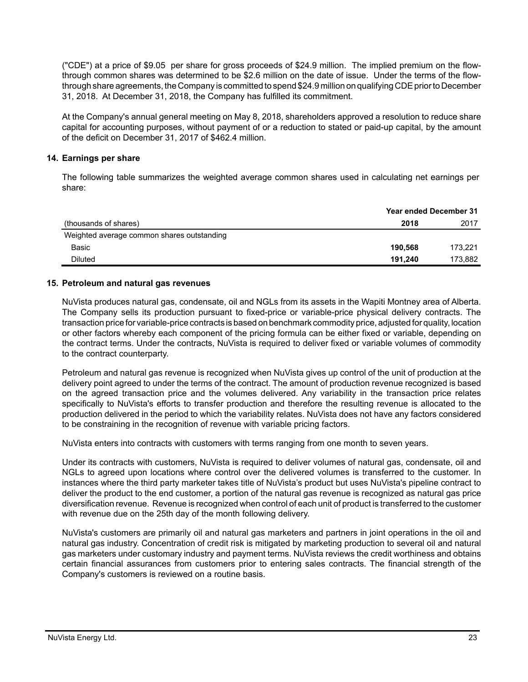("CDE") at a price of \$9.05 per share for gross proceeds of \$24.9 million. The implied premium on the flowthrough common shares was determined to be \$2.6 million on the date of issue. Under the terms of the flowthrough share agreements, the Company is committed to spend \$24.9 million on qualifying CDE prior to December 31, 2018. At December 31, 2018, the Company has fulfilled its commitment.

At the Company's annual general meeting on May 8, 2018, shareholders approved a resolution to reduce share capital for accounting purposes, without payment of or a reduction to stated or paid-up capital, by the amount of the deficit on December 31, 2017 of \$462.4 million.

### **14. Earnings per share**

The following table summarizes the weighted average common shares used in calculating net earnings per share:

|                                            |         | <b>Year ended December 31</b> |
|--------------------------------------------|---------|-------------------------------|
| (thousands of shares)                      | 2018    | 2017                          |
| Weighted average common shares outstanding |         |                               |
| Basic                                      | 190.568 | 173.221                       |
| Diluted                                    | 191.240 | 173.882                       |

### **15. Petroleum and natural gas revenues**

NuVista produces natural gas, condensate, oil and NGLs from its assets in the Wapiti Montney area of Alberta. The Company sells its production pursuant to fixed-price or variable-price physical delivery contracts. The transaction price for variable-price contracts is based on benchmark commodity price, adjusted for quality, location or other factors whereby each component of the pricing formula can be either fixed or variable, depending on the contract terms. Under the contracts, NuVista is required to deliver fixed or variable volumes of commodity to the contract counterparty.

Petroleum and natural gas revenue is recognized when NuVista gives up control of the unit of production at the delivery point agreed to under the terms of the contract. The amount of production revenue recognized is based on the agreed transaction price and the volumes delivered. Any variability in the transaction price relates specifically to NuVista's efforts to transfer production and therefore the resulting revenue is allocated to the production delivered in the period to which the variability relates. NuVista does not have any factors considered to be constraining in the recognition of revenue with variable pricing factors.

NuVista enters into contracts with customers with terms ranging from one month to seven years.

Under its contracts with customers, NuVista is required to deliver volumes of natural gas, condensate, oil and NGLs to agreed upon locations where control over the delivered volumes is transferred to the customer. In instances where the third party marketer takes title of NuVista's product but uses NuVista's pipeline contract to deliver the product to the end customer, a portion of the natural gas revenue is recognized as natural gas price diversification revenue. Revenue is recognized when control of each unit of product is transferred to the customer with revenue due on the 25th day of the month following delivery.

NuVista's customers are primarily oil and natural gas marketers and partners in joint operations in the oil and natural gas industry. Concentration of credit risk is mitigated by marketing production to several oil and natural gas marketers under customary industry and payment terms. NuVista reviews the credit worthiness and obtains certain financial assurances from customers prior to entering sales contracts. The financial strength of the Company's customers is reviewed on a routine basis.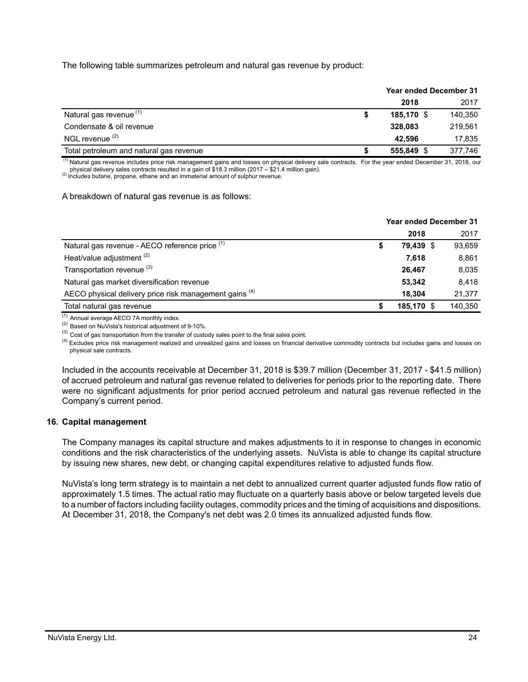The following table summarizes petroleum and natural gas revenue by product:

|                                         |            | <b>Year ended December 31</b> |
|-----------------------------------------|------------|-------------------------------|
|                                         | 2018       | 2017                          |
| Natural gas revenue <sup>(1)</sup>      | 185,170 \$ | 140,350                       |
| Condensate & oil revenue                | 328.083    | 219.561                       |
| NGL revenue <sup>(2)</sup>              | 42.596     | 17.835                        |
| Total petroleum and natural gas revenue | 555,849    | 377.746                       |

(1) Natural gas revenue includes price risk management gains and losses on physical delivery sale contracts. For the year ended December 31, 2018, our physical delivery sales contracts resulted in a gain of \$18.3 million (2017 – \$21.4 million gain).<br><sup>(2)</sup> Includes butane, propane, ethane and an immaterial amount of sulphur revenue.

A breakdown of natural gas revenue is as follows:

|                                                        | <b>Year ended December 31</b> |            |         |
|--------------------------------------------------------|-------------------------------|------------|---------|
|                                                        |                               | 2018       | 2017    |
| Natural gas revenue - AECO reference price (1)         | ъ                             | 79,439 \$  | 93,659  |
| Heat/value adjustment <sup>(2)</sup>                   |                               | 7.618      | 8,861   |
| Transportation revenue (3)                             |                               | 26,467     | 8,035   |
| Natural gas market diversification revenue             |                               | 53,342     | 8.418   |
| AECO physical delivery price risk management gains (4) |                               | 18.304     | 21,377  |
| Total natural gas revenue                              |                               | 185,170 \$ | 140,350 |

 $(1)$  Annual average AECO 7A monthly index.

(2) Based on NuVista's historical adjustment of 9-10%.

(3) Cost of gas transportation from the transfer of custody sales point to the final sales point.

<sup>(4)</sup> Excludes price risk management realized and unrealized gains and losses on financial derivative commodity contracts but includes gains and losses on physical sale contracts.

Included in the accounts receivable at December 31, 2018 is \$39.7 million (December 31, 2017 - \$41.5 million) of accrued petroleum and natural gas revenue related to deliveries for periods prior to the reporting date. There were no significant adjustments for prior period accrued petroleum and natural gas revenue reflected in the Company's current period.

#### **16. Capital management**

The Company manages its capital structure and makes adjustments to it in response to changes in economic conditions and the risk characteristics of the underlying assets. NuVista is able to change its capital structure by issuing new shares, new debt, or changing capital expenditures relative to adjusted funds flow.

NuVista's long term strategy is to maintain a net debt to annualized current quarter adjusted funds flow ratio of approximately 1.5 times. The actual ratio may fluctuate on a quarterly basis above or below targeted levels due to a number of factors including facility outages, commodity prices and the timing of acquisitions and dispositions. At December 31, 2018, the Company's net debt was 2.0 times its annualized adjusted funds flow.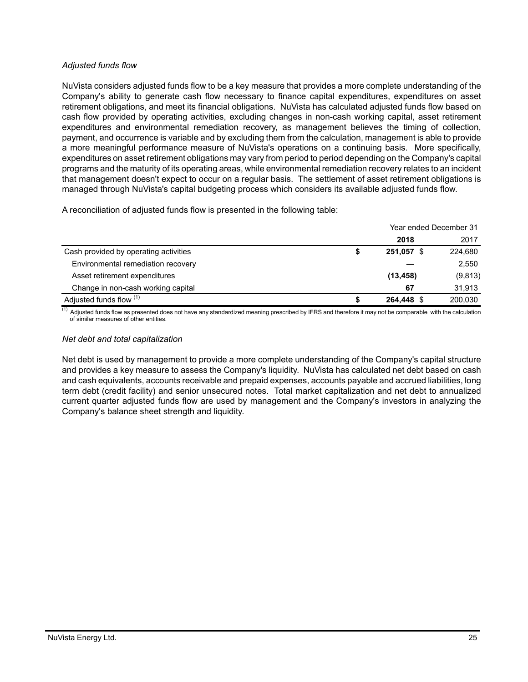### *Adjusted funds flow*

NuVista considers adjusted funds flow to be a key measure that provides a more complete understanding of the Company's ability to generate cash flow necessary to finance capital expenditures, expenditures on asset retirement obligations, and meet its financial obligations. NuVista has calculated adjusted funds flow based on cash flow provided by operating activities, excluding changes in non-cash working capital, asset retirement expenditures and environmental remediation recovery, as management believes the timing of collection, payment, and occurrence is variable and by excluding them from the calculation, management is able to provide a more meaningful performance measure of NuVista's operations on a continuing basis. More specifically, expenditures on asset retirement obligations may vary from period to period depending on the Company's capital programs and the maturity of its operating areas, while environmental remediation recovery relates to an incident that management doesn't expect to occur on a regular basis. The settlement of asset retirement obligations is managed through NuVista's capital budgeting process which considers its available adjusted funds flow.

A reconciliation of adjusted funds flow is presented in the following table:

|                                       | Year ended December 31 |            |         |
|---------------------------------------|------------------------|------------|---------|
|                                       |                        | 2018       | 2017    |
| Cash provided by operating activities |                        | 251.057 \$ | 224.680 |
| Environmental remediation recovery    |                        |            | 2,550   |
| Asset retirement expenditures         |                        | (13, 458)  | (9,813) |
| Change in non-cash working capital    |                        | 67         | 31.913  |
| Adjusted funds flow (1)               |                        | 264,448 \$ | 200,030 |

 $^{(1)}$  Adjusted funds flow as presented does not have any standardized meaning prescribed by IFRS and therefore it may not be comparable with the calculation of similar measures of other entities.

#### *Net debt and total capitalization*

Net debt is used by management to provide a more complete understanding of the Company's capital structure and provides a key measure to assess the Company's liquidity. NuVista has calculated net debt based on cash and cash equivalents, accounts receivable and prepaid expenses, accounts payable and accrued liabilities, long term debt (credit facility) and senior unsecured notes. Total market capitalization and net debt to annualized current quarter adjusted funds flow are used by management and the Company's investors in analyzing the Company's balance sheet strength and liquidity.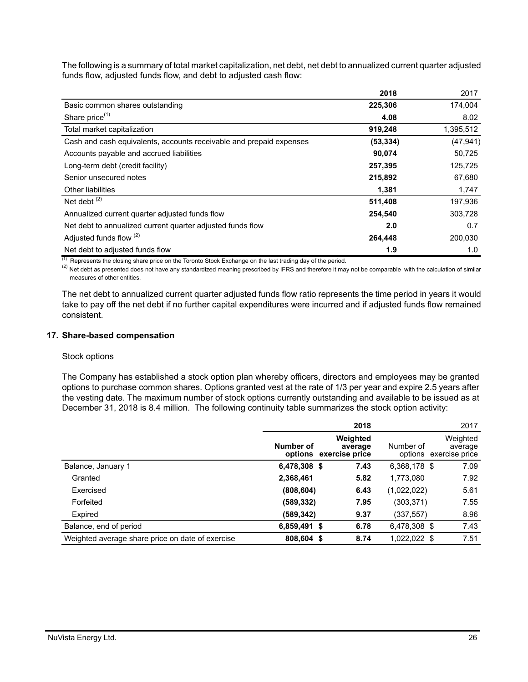The following is a summary of total market capitalization, net debt, net debt to annualized current quarter adjusted funds flow, adjusted funds flow, and debt to adjusted cash flow:

|                                                                     | 2018      | 2017      |
|---------------------------------------------------------------------|-----------|-----------|
| Basic common shares outstanding                                     | 225,306   | 174,004   |
| Share price <sup>(1)</sup>                                          | 4.08      | 8.02      |
| Total market capitalization                                         | 919,248   | 1,395,512 |
| Cash and cash equivalents, accounts receivable and prepaid expenses | (53, 334) | (47, 941) |
| Accounts payable and accrued liabilities                            | 90,074    | 50,725    |
| Long-term debt (credit facility)                                    | 257,395   | 125,725   |
| Senior unsecured notes                                              | 215,892   | 67,680    |
| <b>Other liabilities</b>                                            | 1,381     | 1,747     |
| Net debt $(2)$                                                      | 511,408   | 197,936   |
| Annualized current quarter adjusted funds flow                      | 254,540   | 303,728   |
| Net debt to annualized current quarter adjusted funds flow          | 2.0       | 0.7       |
| Adjusted funds flow (2)                                             | 264,448   | 200,030   |
| Net debt to adjusted funds flow                                     | 1.9       | 1.0       |

 $(1)$  Represents the closing share price on the Toronto Stock Exchange on the last trading day of the period.

<sup>(2)</sup> Net debt as presented does not have any standardized meaning prescribed by IFRS and therefore it may not be comparable with the calculation of similar measures of other entities.

The net debt to annualized current quarter adjusted funds flow ratio represents the time period in years it would take to pay off the net debt if no further capital expenditures were incurred and if adjusted funds flow remained consistent.

### **17. Share-based compensation**

#### Stock options

The Company has established a stock option plan whereby officers, directors and employees may be granted options to purchase common shares. Options granted vest at the rate of 1/3 per year and expire 2.5 years after the vesting date. The maximum number of stock options currently outstanding and available to be issued as at December 31, 2018 is 8.4 million. The following continuity table summarizes the stock option activity:

|                                                  |                      | 2018                                  |              | 2017                                          |
|--------------------------------------------------|----------------------|---------------------------------------|--------------|-----------------------------------------------|
|                                                  | Number of<br>options | Weighted<br>average<br>exercise price | Number of    | Weighted<br>average<br>options exercise price |
| Balance, January 1                               | 6,478,308 \$         | 7.43                                  | 6,368,178 \$ | 7.09                                          |
| Granted                                          | 2,368,461            | 5.82                                  | 1,773,080    | 7.92                                          |
| Exercised                                        | (808, 604)           | 6.43                                  | (1,022,022)  | 5.61                                          |
| Forfeited                                        | (589,332)            | 7.95                                  | (303,371)    | 7.55                                          |
| Expired                                          | (589,342)            | 9.37                                  | (337,557)    | 8.96                                          |
| Balance, end of period                           | 6,859,491 \$         | 6.78                                  | 6,478,308 \$ | 7.43                                          |
| Weighted average share price on date of exercise | 808,604 \$           | 8.74                                  | 1,022,022 \$ | 7.51                                          |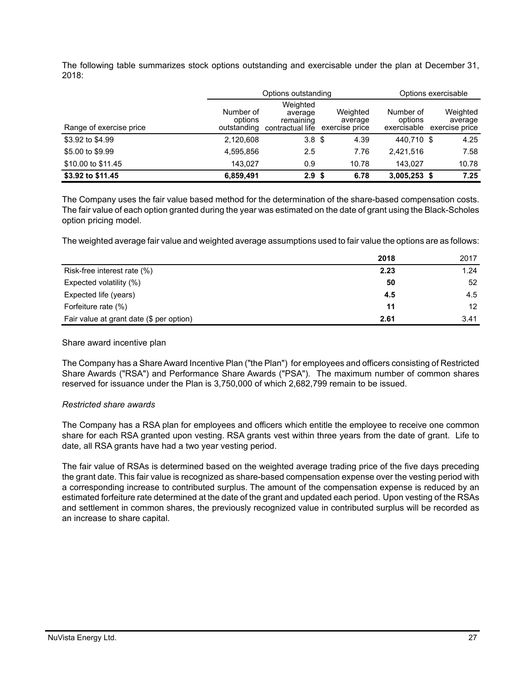The following table summarizes stock options outstanding and exercisable under the plan at December 31, 2018:

|                         | Options outstanding                 |                                                      |                                       |                                     | Options exercisable                   |  |  |
|-------------------------|-------------------------------------|------------------------------------------------------|---------------------------------------|-------------------------------------|---------------------------------------|--|--|
| Range of exercise price | Number of<br>options<br>outstanding | Weighted<br>average<br>remaining<br>contractual life | Weighted<br>average<br>exercise price | Number of<br>options<br>exercisable | Weighted<br>average<br>exercise price |  |  |
| \$3.92 to \$4.99        | 2,120,608                           | 3.8 <sup>5</sup>                                     | 4.39                                  | 440.710 \$                          | 4.25                                  |  |  |
| \$5.00 to \$9.99        | 4,595,856                           | 2.5                                                  | 7.76                                  | 2.421.516                           | 7.58                                  |  |  |
| \$10.00 to \$11.45      | 143.027                             | 0.9                                                  | 10.78                                 | 143.027                             | 10.78                                 |  |  |
| \$3.92 to \$11.45       | 6,859,491                           | 2.9 <sup>5</sup>                                     | 6.78                                  | $3,005,253$ \$                      | 7.25                                  |  |  |

The Company uses the fair value based method for the determination of the share-based compensation costs. The fair value of each option granted during the year was estimated on the date of grant using the Black-Scholes option pricing model.

The weighted average fair value and weighted average assumptions used to fair value the options are as follows:

|                                          | 2018 | 2017            |
|------------------------------------------|------|-----------------|
| Risk-free interest rate (%)              | 2.23 | 1.24            |
| Expected volatility (%)                  | 50   | 52              |
| Expected life (years)                    | 4.5  | 4.5             |
| Forfeiture rate (%)                      | 11   | 12 <sup>2</sup> |
| Fair value at grant date (\$ per option) | 2.61 | 3.41            |

#### Share award incentive plan

The Company has a Share Award Incentive Plan ("the Plan") for employees and officers consisting of Restricted Share Awards ("RSA") and Performance Share Awards ("PSA"). The maximum number of common shares reserved for issuance under the Plan is 3,750,000 of which 2,682,799 remain to be issued.

#### *Restricted share awards*

The Company has a RSA plan for employees and officers which entitle the employee to receive one common share for each RSA granted upon vesting. RSA grants vest within three years from the date of grant. Life to date, all RSA grants have had a two year vesting period.

The fair value of RSAs is determined based on the weighted average trading price of the five days preceding the grant date. This fair value is recognized as share-based compensation expense over the vesting period with a corresponding increase to contributed surplus. The amount of the compensation expense is reduced by an estimated forfeiture rate determined at the date of the grant and updated each period. Upon vesting of the RSAs and settlement in common shares, the previously recognized value in contributed surplus will be recorded as an increase to share capital.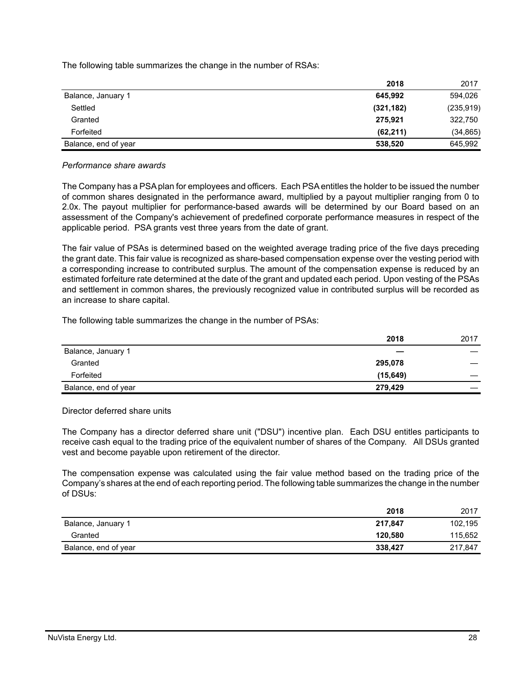The following table summarizes the change in the number of RSAs:

|                      | 2018       | 2017       |
|----------------------|------------|------------|
| Balance, January 1   | 645,992    | 594,026    |
| Settled              | (321, 182) | (235, 919) |
| Granted              | 275,921    | 322,750    |
| Forfeited            | (62, 211)  | (34, 865)  |
| Balance, end of year | 538,520    | 645,992    |

### *Performance share awards*

The Company has a PSA plan for employees and officers. Each PSA entitles the holder to be issued the number of common shares designated in the performance award, multiplied by a payout multiplier ranging from 0 to 2.0x. The payout multiplier for performance-based awards will be determined by our Board based on an assessment of the Company's achievement of predefined corporate performance measures in respect of the applicable period. PSA grants vest three years from the date of grant.

The fair value of PSAs is determined based on the weighted average trading price of the five days preceding the grant date. This fair value is recognized as share-based compensation expense over the vesting period with a corresponding increase to contributed surplus. The amount of the compensation expense is reduced by an estimated forfeiture rate determined at the date of the grant and updated each period. Upon vesting of the PSAs and settlement in common shares, the previously recognized value in contributed surplus will be recorded as an increase to share capital.

The following table summarizes the change in the number of PSAs:

|                      | 2018      | 2017 |
|----------------------|-----------|------|
| Balance, January 1   |           |      |
| Granted              | 295,078   |      |
| Forfeited            | (15, 649) | —    |
| Balance, end of year | 279.429   |      |

Director deferred share units

The Company has a director deferred share unit ("DSU") incentive plan. Each DSU entitles participants to receive cash equal to the trading price of the equivalent number of shares of the Company. All DSUs granted vest and become payable upon retirement of the director.

The compensation expense was calculated using the fair value method based on the trading price of the Company's shares at the end of each reporting period. The following table summarizes the change in the number of DSUs:

|                      | 2018    | 2017    |
|----------------------|---------|---------|
| Balance, January 1   | 217.847 | 102.195 |
| Granted              | 120.580 | 115.652 |
| Balance, end of year | 338.427 | 217.847 |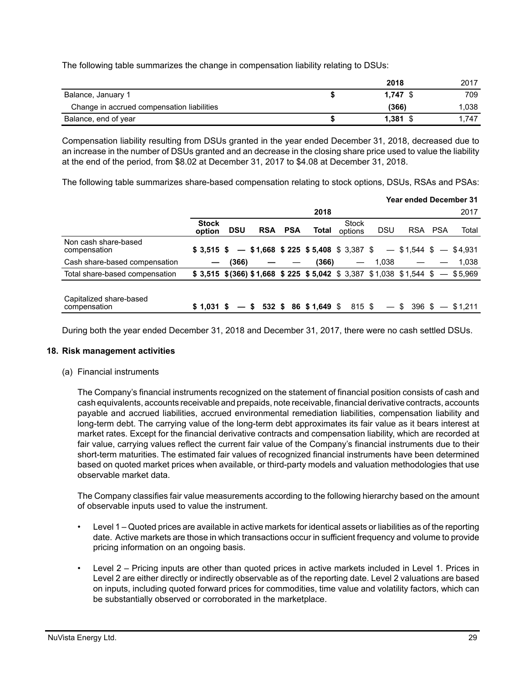The following table summarizes the change in compensation liability relating to DSUs:

|                                            | 2018       | 2017  |
|--------------------------------------------|------------|-------|
| Balance, January 1                         | $1.747$ \$ | 709   |
| Change in accrued compensation liabilities | (366)      | 1.038 |
| Balance, end of year                       | 1.381      | 1.747 |

Compensation liability resulting from DSUs granted in the year ended December 31, 2018, decreased due to an increase in the number of DSUs granted and an decrease in the closing share price used to value the liability at the end of the period, from \$8.02 at December 31, 2017 to \$4.08 at December 31, 2018.

The following table summarizes share-based compensation relating to stock options, DSUs, RSAs and PSAs:

|                                         |                        |            |                |                                                                                     |                         |       | rear engeg December 31    |         |       |
|-----------------------------------------|------------------------|------------|----------------|-------------------------------------------------------------------------------------|-------------------------|-------|---------------------------|---------|-------|
|                                         |                        |            |                | 2018                                                                                |                         |       |                           |         | 2017  |
|                                         | <b>Stock</b><br>option | <b>DSU</b> | <b>RSA PSA</b> | Total                                                                               | <b>Stock</b><br>options | DSU   |                           | RSA PSA | Total |
| Non cash share-based<br>compensation    |                        |            |                | \$3,515 \$ - \$1,668 \$225 \$5,408 \$3,387 \$ - \$1,544 \$ - \$4,931                |                         |       |                           |         |       |
| Cash share-based compensation           |                        | (366)      |                | (366)                                                                               |                         | 1.038 |                           |         | 1.038 |
| Total share-based compensation          |                        |            |                | $$3,515$ $$(366)$ $$1,668$ $$225$ $$5,042$ $$3,387$ $$1,038$ $$1,544$ $$$ $ $5,969$ |                         |       |                           |         |       |
| Capitalized share-based<br>compensation | \$1.031 \$             |            |                | $-$ \$ 532 \$ 86 \$1,649 \$ 815 \$                                                  |                         |       | $-$ \$ 396 \$ $-$ \$1,211 |         |       |

During both the year ended December 31, 2018 and December 31, 2017, there were no cash settled DSUs.

### **18. Risk management activities**

(a) Financial instruments

The Company's financial instruments recognized on the statement of financial position consists of cash and cash equivalents, accounts receivable and prepaids, note receivable, financial derivative contracts, accounts payable and accrued liabilities, accrued environmental remediation liabilities, compensation liability and long-term debt. The carrying value of the long-term debt approximates its fair value as it bears interest at market rates. Except for the financial derivative contracts and compensation liability, which are recorded at fair value, carrying values reflect the current fair value of the Company's financial instruments due to their short-term maturities. The estimated fair values of recognized financial instruments have been determined based on quoted market prices when available, or third-party models and valuation methodologies that use observable market data.

The Company classifies fair value measurements according to the following hierarchy based on the amount of observable inputs used to value the instrument.

- Level 1 Quoted prices are available in active markets for identical assets or liabilities as of the reporting date. Active markets are those in which transactions occur in sufficient frequency and volume to provide pricing information on an ongoing basis.
- Level 2 Pricing inputs are other than quoted prices in active markets included in Level 1. Prices in Level 2 are either directly or indirectly observable as of the reporting date. Level 2 valuations are based on inputs, including quoted forward prices for commodities, time value and volatility factors, which can be substantially observed or corroborated in the marketplace.

**Year ended December 31**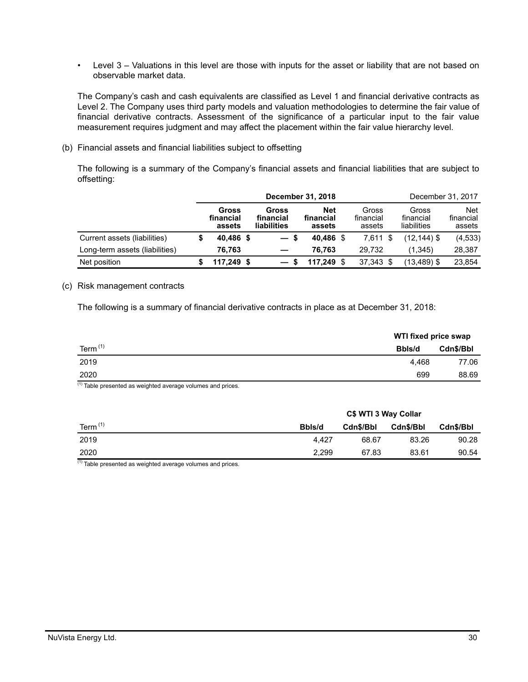• Level 3 – Valuations in this level are those with inputs for the asset or liability that are not based on observable market data.

The Company's cash and cash equivalents are classified as Level 1 and financial derivative contracts as Level 2. The Company uses third party models and valuation methodologies to determine the fair value of financial derivative contracts. Assessment of the significance of a particular input to the fair value measurement requires judgment and may affect the placement within the fair value hierarchy level.

(b) Financial assets and financial liabilities subject to offsetting

The following is a summary of the Company's financial assets and financial liabilities that are subject to offsetting:

|                                | <b>December 31, 2018</b> |                              |  |                                   |  |                                   |     |                              | December 31, 2017                 |                                   |
|--------------------------------|--------------------------|------------------------------|--|-----------------------------------|--|-----------------------------------|-----|------------------------------|-----------------------------------|-----------------------------------|
|                                |                          | Gross<br>financial<br>assets |  | Gross<br>financial<br>liabilities |  | <b>Net</b><br>financial<br>assets |     | Gross<br>financial<br>assets | Gross<br>financial<br>liabilities | <b>Net</b><br>financial<br>assets |
| Current assets (liabilities)   |                          | 40,486 \$                    |  | — \$                              |  | 40,486 \$                         |     | $7.611$ \$                   | $(12, 144)$ \$                    | (4, 533)                          |
| Long-term assets (liabilities) |                          | 76.763                       |  |                                   |  | 76.763                            |     | 29.732                       | (1.345)                           | 28,387                            |
| Net position                   |                          | $117,249$ \$                 |  |                                   |  | 117.249                           | \$. | 37,343 \$                    | (13,489) \$                       | 23,854                            |

#### (c) Risk management contracts

The following is a summary of financial derivative contracts in place as at December 31, 2018:

|            | WTI fixed price swap |           |
|------------|----------------------|-----------|
| Term $(1)$ | Bbls/d               | Cdn\$/Bbl |
| 2019       | 4.468                | 77.06     |
| 2020       | 699                  | 88.69     |

 $(1)$  Table presented as weighted average volumes and prices.

|            | C\$ WTI 3 Way Collar |           |           |           |  |
|------------|----------------------|-----------|-----------|-----------|--|
| Term $(1)$ | Bbls/d               | Cdn\$/Bbl | Cdn\$/Bbl | Cdn\$/Bbl |  |
| 2019       | 4.427                | 68.67     | 83.26     | 90.28     |  |
| 2020       | 2.299                | 67.83     | 83.61     | 90.54     |  |

 $(1)$  Table presented as weighted average volumes and prices.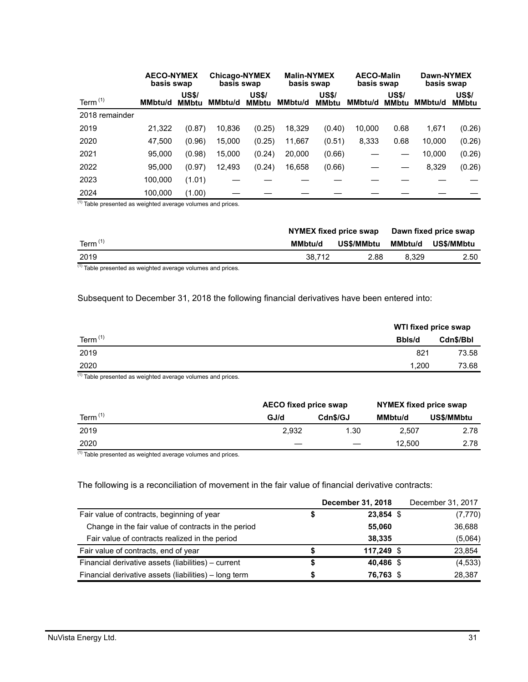|                | <b>AECO-NYMEX</b><br>basis swap |                              | <b>Chicago-NYMEX</b><br>basis swap |                              | <b>Malin-NYMEX</b><br>basis swap |                              | <b>AECO-Malin</b><br>basis swap |                              | Dawn-NYMEX<br>basis swap |                              |
|----------------|---------------------------------|------------------------------|------------------------------------|------------------------------|----------------------------------|------------------------------|---------------------------------|------------------------------|--------------------------|------------------------------|
| Term $(1)$     | <b>MMbtu/d</b>                  | <b>US\$/</b><br><b>MMbtu</b> | <b>MMbtu/d</b>                     | <b>US\$/</b><br><b>MMbtu</b> | <b>MMbtu/d</b>                   | <b>US\$/</b><br><b>MMbtu</b> | <b>MMbtu/d</b>                  | <b>US\$/</b><br><b>MMbtu</b> | <b>MMbtu/d</b>           | <b>US\$/</b><br><b>MMbtu</b> |
| 2018 remainder |                                 |                              |                                    |                              |                                  |                              |                                 |                              |                          |                              |
| 2019           | 21,322                          | (0.87)                       | 10,836                             | (0.25)                       | 18,329                           | (0.40)                       | 10,000                          | 0.68                         | 1,671                    | (0.26)                       |
| 2020           | 47,500                          | (0.96)                       | 15,000                             | (0.25)                       | 11,667                           | (0.51)                       | 8,333                           | 0.68                         | 10,000                   | (0.26)                       |
| 2021           | 95,000                          | (0.98)                       | 15,000                             | (0.24)                       | 20,000                           | (0.66)                       |                                 |                              | 10,000                   | (0.26)                       |
| 2022           | 95,000                          | (0.97)                       | 12,493                             | (0.24)                       | 16,658                           | (0.66)                       |                                 |                              | 8,329                    | (0.26)                       |
| 2023           | 100,000                         | (1.01)                       |                                    |                              |                                  |                              |                                 |                              |                          |                              |
| 2024           | 100,000                         | (1.00)                       |                                    |                              |                                  |                              |                                 |                              |                          |                              |

 $(1)$  Table presented as weighted average volumes and prices.

|            |         | NYMEX fixed price swap |         | Dawn fixed price swap |
|------------|---------|------------------------|---------|-----------------------|
| Term $(1)$ | MMbtu/d | US\$/MMbtu             | MMbtu/d | US\$/MMbtu            |
| 2019       | 38.712  | 2.88                   | 8.329   | 2.50                  |
| (4)        |         |                        |         |                       |

 $(1)$  Table presented as weighted average volumes and prices.

Subsequent to December 31, 2018 the following financial derivatives have been entered into:

| <b>WTI fixed price swap</b> |           |
|-----------------------------|-----------|
| Term $(1)$<br>Bbls/d        | Cdn\$/Bbl |
| 2019<br>821                 | 73.58     |
| 2020<br>1.200<br>743        | 73.68     |

 $(1)$  Table presented as weighted average volumes and prices.

|                |       | NYMEX fixed price swap<br>AECO fixed price swap |                |            |
|----------------|-------|-------------------------------------------------|----------------|------------|
| Term $(1)$     | GJ/d  | Cdn\$/GJ                                        | <b>MMbtu/d</b> | US\$/MMbtu |
| 2019           | 2.932 | 1.30                                            | 2.507          | 2.78       |
| 2020<br>$\sim$ |       |                                                 | 12.500         | 2.78       |

 $(1)$  Table presented as weighted average volumes and prices.

### The following is a reconciliation of movement in the fair value of financial derivative contracts:

|                                                       | <b>December 31, 2018</b> | December 31, 2017 |
|-------------------------------------------------------|--------------------------|-------------------|
| Fair value of contracts, beginning of year            | 23,854 \$                | (7,770)           |
| Change in the fair value of contracts in the period   | 55,060                   | 36,688            |
| Fair value of contracts realized in the period        | 38,335                   | (5,064)           |
| Fair value of contracts, end of year                  | 117,249 \$               | 23,854            |
| Financial derivative assets (liabilities) – current   | 40,486 \$                | (4, 533)          |
| Financial derivative assets (liabilities) - long term | 76,763 \$                | 28,387            |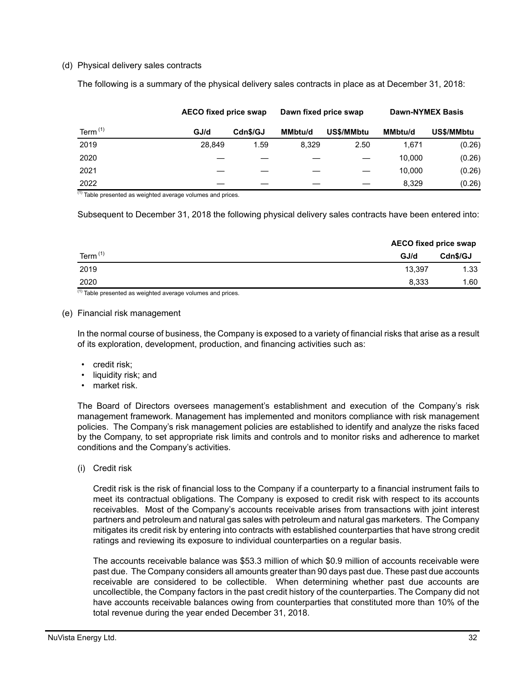### (d) Physical delivery sales contracts

The following is a summary of the physical delivery sales contracts in place as at December 31, 2018:

|            | <b>AECO fixed price swap</b> |          | Dawn fixed price swap |            | <b>Dawn-NYMEX Basis</b> |            |
|------------|------------------------------|----------|-----------------------|------------|-------------------------|------------|
| Term $(1)$ | GJ/d                         | Cdn\$/GJ | <b>MMbtu/d</b>        | US\$/MMbtu | <b>MMbtu/d</b>          | US\$/MMbtu |
| 2019       | 28.849                       | 1.59     | 8.329                 | 2.50       | 1.671                   | (0.26)     |
| 2020       |                              |          |                       |            | 10,000                  | (0.26)     |
| 2021       |                              |          |                       |            | 10.000                  | (0.26)     |
| 2022       |                              |          |                       |            | 8.329                   | (0.26)     |

(1) Table presented as weighted average volumes and prices.

Subsequent to December 31, 2018 the following physical delivery sales contracts have been entered into:

|                       | <b>AECO fixed price swap</b> |          |  |
|-----------------------|------------------------------|----------|--|
| Term $(1)$            | GJ/d                         | Cdn\$/GJ |  |
| 2019                  | 13.397                       | 1.33     |  |
| 2020                  | 8,333                        | 1.60     |  |
| $(1) - 1$<br>$\cdots$ |                              |          |  |

 $<sup>(1)</sup>$  Table presented as weighted average volumes and prices.</sup>

#### (e) Financial risk management

In the normal course of business, the Company is exposed to a variety of financial risks that arise as a result of its exploration, development, production, and financing activities such as:

- credit risk;
- liquidity risk; and
- market risk.

The Board of Directors oversees management's establishment and execution of the Company's risk management framework. Management has implemented and monitors compliance with risk management policies. The Company's risk management policies are established to identify and analyze the risks faced by the Company, to set appropriate risk limits and controls and to monitor risks and adherence to market conditions and the Company's activities.

(i) Credit risk

Credit risk is the risk of financial loss to the Company if a counterparty to a financial instrument fails to meet its contractual obligations. The Company is exposed to credit risk with respect to its accounts receivables. Most of the Company's accounts receivable arises from transactions with joint interest partners and petroleum and natural gas sales with petroleum and natural gas marketers. The Company mitigates its credit risk by entering into contracts with established counterparties that have strong credit ratings and reviewing its exposure to individual counterparties on a regular basis.

The accounts receivable balance was \$53.3 million of which \$0.9 million of accounts receivable were past due. The Company considers all amounts greater than 90 days past due. These past due accounts receivable are considered to be collectible. When determining whether past due accounts are uncollectible, the Company factors in the past credit history of the counterparties. The Company did not have accounts receivable balances owing from counterparties that constituted more than 10% of the total revenue during the year ended December 31, 2018.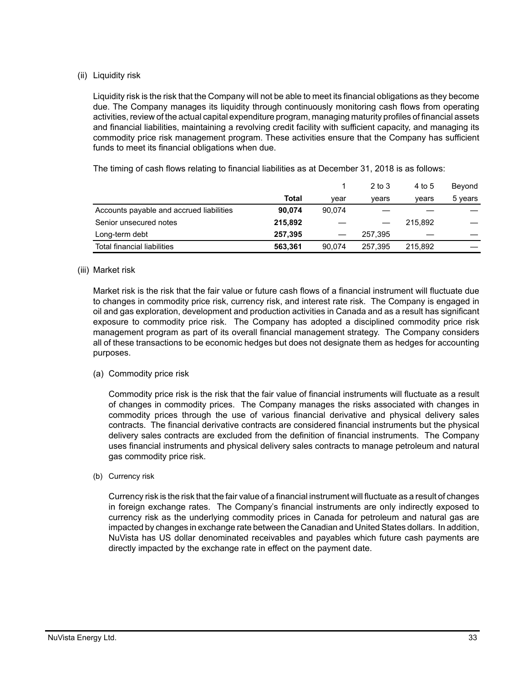## (ii) Liquidity risk

Liquidity risk is the risk that the Company will not be able to meet its financial obligations as they become due. The Company manages its liquidity through continuously monitoring cash flows from operating activities, review of the actual capital expenditure program, managing maturity profiles of financial assets and financial liabilities, maintaining a revolving credit facility with sufficient capacity, and managing its commodity price risk management program. These activities ensure that the Company has sufficient funds to meet its financial obligations when due.

The timing of cash flows relating to financial liabilities as at December 31, 2018 is as follows:

|                                          |         |        | $2$ to $3$ | 4 to 5  | Beyond  |
|------------------------------------------|---------|--------|------------|---------|---------|
|                                          | Total   | vear   | vears      | vears   | 5 years |
| Accounts payable and accrued liabilities | 90.074  | 90.074 |            |         |         |
| Senior unsecured notes                   | 215.892 |        |            | 215.892 |         |
| Long-term debt                           | 257.395 |        | 257.395    |         |         |
| <b>Total financial liabilities</b>       | 563.361 | 90.074 | 257.395    | 215.892 |         |

### (iii) Market risk

Market risk is the risk that the fair value or future cash flows of a financial instrument will fluctuate due to changes in commodity price risk, currency risk, and interest rate risk. The Company is engaged in oil and gas exploration, development and production activities in Canada and as a result has significant exposure to commodity price risk. The Company has adopted a disciplined commodity price risk management program as part of its overall financial management strategy. The Company considers all of these transactions to be economic hedges but does not designate them as hedges for accounting purposes.

### (a) Commodity price risk

Commodity price risk is the risk that the fair value of financial instruments will fluctuate as a result of changes in commodity prices. The Company manages the risks associated with changes in commodity prices through the use of various financial derivative and physical delivery sales contracts. The financial derivative contracts are considered financial instruments but the physical delivery sales contracts are excluded from the definition of financial instruments. The Company uses financial instruments and physical delivery sales contracts to manage petroleum and natural gas commodity price risk.

#### (b) Currency risk

Currency risk is the risk that the fair value of a financial instrument will fluctuate as a result of changes in foreign exchange rates. The Company's financial instruments are only indirectly exposed to currency risk as the underlying commodity prices in Canada for petroleum and natural gas are impacted by changes in exchange rate between the Canadian and United States dollars. In addition, NuVista has US dollar denominated receivables and payables which future cash payments are directly impacted by the exchange rate in effect on the payment date.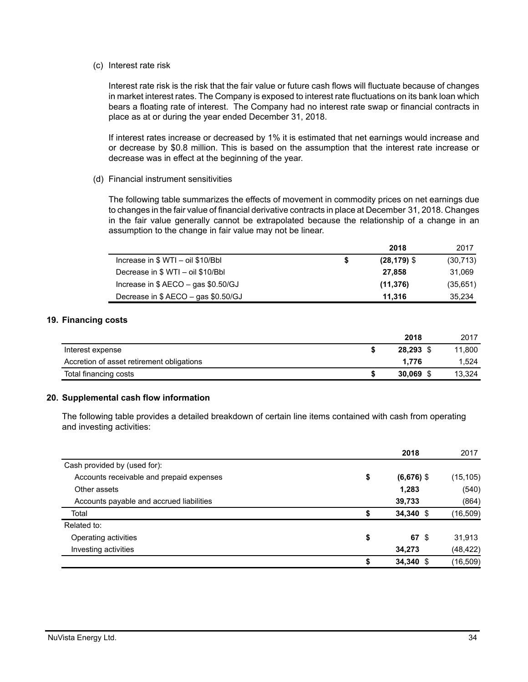(c) Interest rate risk

Interest rate risk is the risk that the fair value or future cash flows will fluctuate because of changes in market interest rates. The Company is exposed to interest rate fluctuations on its bank loan which bears a floating rate of interest. The Company had no interest rate swap or financial contracts in place as at or during the year ended December 31, 2018.

If interest rates increase or decreased by 1% it is estimated that net earnings would increase and or decrease by \$0.8 million. This is based on the assumption that the interest rate increase or decrease was in effect at the beginning of the year.

(d) Financial instrument sensitivities

The following table summarizes the effects of movement in commodity prices on net earnings due to changes in the fair value of financial derivative contracts in place at December 31, 2018. Changes in the fair value generally cannot be extrapolated because the relationship of a change in an assumption to the change in fair value may not be linear.

|                                     |   | 2018           | 2017      |
|-------------------------------------|---|----------------|-----------|
| Increase in \$ WTI - oil \$10/Bbl   | S | $(28, 179)$ \$ | (30, 713) |
| Decrease in \$ WTI - oil \$10/Bbl   |   | 27.858         | 31.069    |
| Increase in $$AECO - gas $0.50/GJ$  |   | (11, 376)      | (35,651)  |
| Decrease in \$ AECO - gas \$0.50/GJ |   | 11.316         | 35.234    |

### **19. Financing costs**

|                                           | 2018        | 2017   |
|-------------------------------------------|-------------|--------|
| Interest expense                          | 28.293 \$   | 11.800 |
| Accretion of asset retirement obligations | 1.776       | 1.524  |
| Total financing costs                     | $30.069$ \$ | 13.324 |

### **20. Supplemental cash flow information**

The following table provides a detailed breakdown of certain line items contained with cash from operating and investing activities:

|                                          | 2018               | 2017      |
|------------------------------------------|--------------------|-----------|
| Cash provided by (used for):             |                    |           |
| Accounts receivable and prepaid expenses | \$<br>$(6,676)$ \$ | (15,105)  |
| Other assets                             | 1,283              | (540)     |
| Accounts payable and accrued liabilities | 39,733             | (864)     |
| Total                                    | \$<br>$34,340$ \$  | (16, 509) |
| Related to:                              |                    |           |
| Operating activities                     | \$<br>67 \$        | 31,913    |
| Investing activities                     | 34,273             | (48, 422) |
|                                          | \$<br>34,340 \$    | (16, 509) |